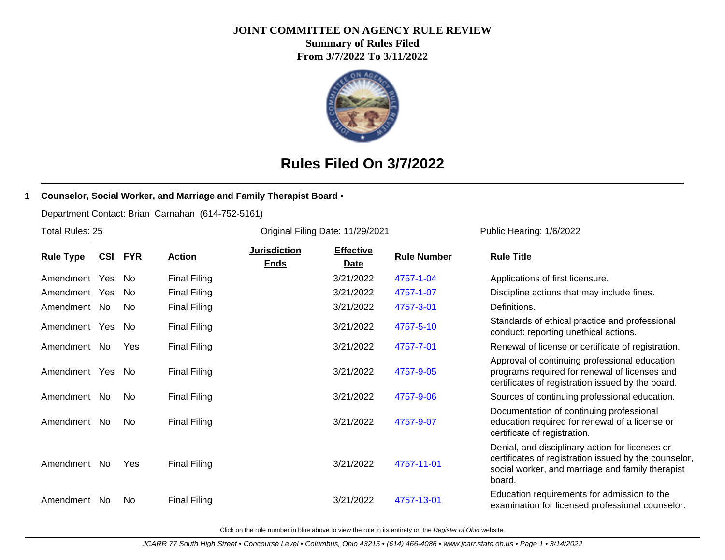#### **JOINT COMMITTEE ON AGENCY RULE REVIEW**

**Summary of Rules Filed From 3/7/2022 To 3/11/2022**



# **Rules Filed On 3/7/2022**

#### **1 Counselor, Social Worker, and Marriage and Family Therapist Board** •

Department Contact: Brian Carnahan (614-752-5161)

Total Rules: 25

| <b>Rule Type</b> | <u>CSI</u> | <b>FYR</b> | <b>Action</b>       | <b>Jurisdiction</b><br><b>Ends</b> | <b>Effective</b><br><u>Date</u> | <b>Rule Number</b> | <b>Rule Title</b>                                                                                                                                                 |
|------------------|------------|------------|---------------------|------------------------------------|---------------------------------|--------------------|-------------------------------------------------------------------------------------------------------------------------------------------------------------------|
| Amendment Yes    |            | No.        | <b>Final Filing</b> |                                    | 3/21/2022                       | 4757-1-04          | Applications of first licensure.                                                                                                                                  |
| Amendment Yes    |            | No.        | <b>Final Filing</b> |                                    | 3/21/2022                       | 4757-1-07          | Discipline actions that may include fines.                                                                                                                        |
| Amendment No     |            | No         | <b>Final Filing</b> |                                    | 3/21/2022                       | 4757-3-01          | Definitions.                                                                                                                                                      |
| Amendment Yes    |            | No.        | <b>Final Filing</b> |                                    | 3/21/2022                       | 4757-5-10          | Standards of ethical practice and professional<br>conduct: reporting unethical actions.                                                                           |
| Amendment No     |            | Yes        | <b>Final Filing</b> |                                    | 3/21/2022                       | 4757-7-01          | Renewal of license or certificate of registration.                                                                                                                |
| Amendment Yes    |            | No.        | Final Filing        |                                    | 3/21/2022                       | 4757-9-05          | Approval of continuing professional education<br>programs required for renewal of licenses and<br>certificates of registration issued by the board.               |
| Amendment No     |            | No         | <b>Final Filing</b> |                                    | 3/21/2022                       | 4757-9-06          | Sources of continuing professional education.                                                                                                                     |
| Amendment        | No         | No         | <b>Final Filing</b> |                                    | 3/21/2022                       | 4757-9-07          | Documentation of continuing professional<br>education required for renewal of a license or<br>certificate of registration.                                        |
| Amendment No     |            | Yes        | <b>Final Filing</b> |                                    | 3/21/2022                       | 4757-11-01         | Denial, and disciplinary action for licenses or<br>certificates of registration issued by the counse<br>social worker, and marriage and family therapis<br>board. |
|                  |            |            |                     |                                    |                                 |                    | Education requirements for admission to the                                                                                                                       |

Original Filing Date: 11/29/2021 Public Hearing: 1/6/2022

**Effective**

| <u>Rule Type</u> | <u>CSI</u> | <u>FYR</u> | <u>Action</u>       | <b>Ends</b> | <b>Date</b> | <b>Rule Number</b> | <b>Rule Title</b>                                                                                                                                                      |
|------------------|------------|------------|---------------------|-------------|-------------|--------------------|------------------------------------------------------------------------------------------------------------------------------------------------------------------------|
| Amendment Yes    |            | No.        | <b>Final Filing</b> |             | 3/21/2022   | 4757-1-04          | Applications of first licensure.                                                                                                                                       |
| Amendment Yes    |            | No.        | <b>Final Filing</b> |             | 3/21/2022   | 4757-1-07          | Discipline actions that may include fines.                                                                                                                             |
| Amendment No     |            | No.        | <b>Final Filing</b> |             | 3/21/2022   | 4757-3-01          | Definitions.                                                                                                                                                           |
| Amendment Yes    |            | No.        | <b>Final Filing</b> |             | 3/21/2022   | 4757-5-10          | Standards of ethical practice and professional<br>conduct: reporting unethical actions.                                                                                |
| Amendment No     |            | Yes        | <b>Final Filing</b> |             | 3/21/2022   | 4757-7-01          | Renewal of license or certificate of registration.                                                                                                                     |
| Amendment Yes    |            | No.        | <b>Final Filing</b> |             | 3/21/2022   | 4757-9-05          | Approval of continuing professional education<br>programs required for renewal of licenses and<br>certificates of registration issued by the board.                    |
| Amendment No     |            | No         | <b>Final Filing</b> |             | 3/21/2022   | 4757-9-06          | Sources of continuing professional education.                                                                                                                          |
| Amendment No     |            | No         | <b>Final Filing</b> |             | 3/21/2022   | 4757-9-07          | Documentation of continuing professional<br>education required for renewal of a license or<br>certificate of registration.                                             |
| Amendment No     |            | Yes        | <b>Final Filing</b> |             | 3/21/2022   | 4757-11-01         | Denial, and disciplinary action for licenses or<br>certificates of registration issued by the counselor,<br>social worker, and marriage and family therapist<br>board. |
| Amendment No     |            | No         | <b>Final Filing</b> |             | 3/21/2022   | 4757-13-01         | Education requirements for admission to the<br>examination for licensed professional counselor.                                                                        |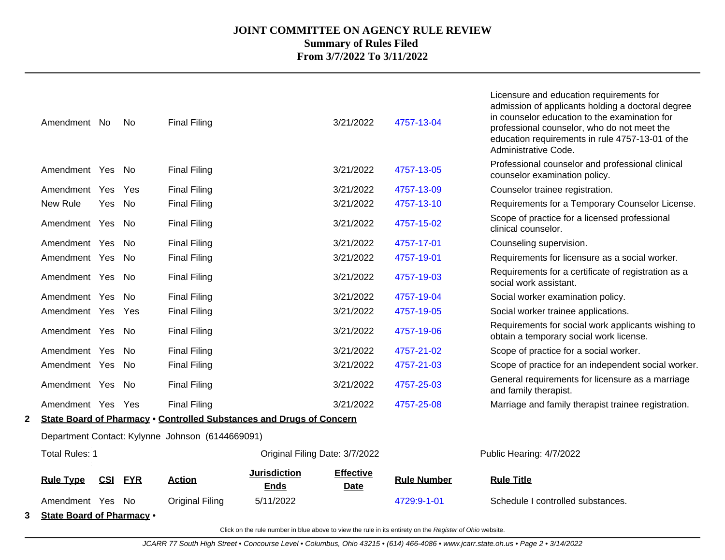| 3 | <b>State Board of Pharmacy .</b> |                |      |                                                                      |                                    |                                 |                    |                                                                                                                                                                                                                                                                           |
|---|----------------------------------|----------------|------|----------------------------------------------------------------------|------------------------------------|---------------------------------|--------------------|---------------------------------------------------------------------------------------------------------------------------------------------------------------------------------------------------------------------------------------------------------------------------|
|   | Amendment Yes No                 |                |      | <b>Original Filing</b>                                               | 5/11/2022                          |                                 | 4729:9-1-01        | Schedule I controlled substances.                                                                                                                                                                                                                                         |
|   | <b>Rule Type</b>                 | <b>CSI FYR</b> |      | <b>Action</b>                                                        | <b>Jurisdiction</b><br><b>Ends</b> | <b>Effective</b><br><b>Date</b> | <b>Rule Number</b> | <b>Rule Title</b>                                                                                                                                                                                                                                                         |
|   | <b>Total Rules: 1</b>            |                |      |                                                                      | Original Filing Date: 3/7/2022     |                                 |                    | Public Hearing: 4/7/2022                                                                                                                                                                                                                                                  |
|   |                                  |                |      | Department Contact: Kylynne Johnson (6144669091)                     |                                    |                                 |                    |                                                                                                                                                                                                                                                                           |
| 2 |                                  |                |      | State Board of Pharmacy . Controlled Substances and Drugs of Concern |                                    |                                 |                    |                                                                                                                                                                                                                                                                           |
|   | Amendment Yes Yes                |                |      | <b>Final Filing</b>                                                  |                                    | 3/21/2022                       | 4757-25-08         | Marriage and family therapist trainee registration.                                                                                                                                                                                                                       |
|   | Amendment Yes No                 |                |      | <b>Final Filing</b>                                                  |                                    | 3/21/2022                       | 4757-25-03         | General requirements for licensure as a marriage<br>and family therapist.                                                                                                                                                                                                 |
|   | Amendment Yes                    |                | - No | <b>Final Filing</b>                                                  |                                    | 3/21/2022                       | 4757-21-03         | Scope of practice for an independent social worker.                                                                                                                                                                                                                       |
|   | Amendment Yes                    |                | No.  | <b>Final Filing</b>                                                  |                                    | 3/21/2022                       | 4757-21-02         | Scope of practice for a social worker.                                                                                                                                                                                                                                    |
|   | Amendment Yes                    |                | - No | <b>Final Filing</b>                                                  |                                    | 3/21/2022                       | 4757-19-06         | Requirements for social work applicants wishing to<br>obtain a temporary social work license.                                                                                                                                                                             |
|   | Amendment Yes Yes                |                |      | <b>Final Filing</b>                                                  |                                    | 3/21/2022                       | 4757-19-05         | Social worker trainee applications.                                                                                                                                                                                                                                       |
|   | Amendment Yes                    |                | No.  | <b>Final Filing</b>                                                  |                                    | 3/21/2022                       | 4757-19-04         | Social worker examination policy.                                                                                                                                                                                                                                         |
|   | Amendment Yes No                 |                |      | <b>Final Filing</b>                                                  |                                    | 3/21/2022                       | 4757-19-03         | Requirements for a certificate of registration as a<br>social work assistant.                                                                                                                                                                                             |
|   | Amendment Yes                    |                | No.  | <b>Final Filing</b>                                                  |                                    | 3/21/2022                       | 4757-19-01         | Requirements for licensure as a social worker.                                                                                                                                                                                                                            |
|   | Amendment Yes                    |                | . No | <b>Final Filing</b>                                                  |                                    | 3/21/2022                       | 4757-17-01         | Counseling supervision.                                                                                                                                                                                                                                                   |
|   | Amendment Yes No                 |                |      | <b>Final Filing</b>                                                  |                                    | 3/21/2022                       | 4757-15-02         | Scope of practice for a licensed professional<br>clinical counselor.                                                                                                                                                                                                      |
|   | New Rule                         | Yes            | No.  | <b>Final Filing</b>                                                  |                                    | 3/21/2022                       | 4757-13-10         | Requirements for a Temporary Counselor License.                                                                                                                                                                                                                           |
|   | Amendment Yes                    |                | Yes  | <b>Final Filing</b>                                                  |                                    | 3/21/2022                       | 4757-13-09         | Counselor trainee registration.                                                                                                                                                                                                                                           |
|   | Amendment Yes No                 |                |      | <b>Final Filing</b>                                                  |                                    | 3/21/2022                       | 4757-13-05         | Professional counselor and professional clinical<br>counselor examination policy.                                                                                                                                                                                         |
|   | Amendment No                     |                | No   | <b>Final Filing</b>                                                  |                                    | 3/21/2022                       | 4757-13-04         | Licensure and education requirements for<br>admission of applicants holding a doctoral degree<br>in counselor education to the examination for<br>professional counselor, who do not meet the<br>education requirements in rule 4757-13-01 of the<br>Administrative Code. |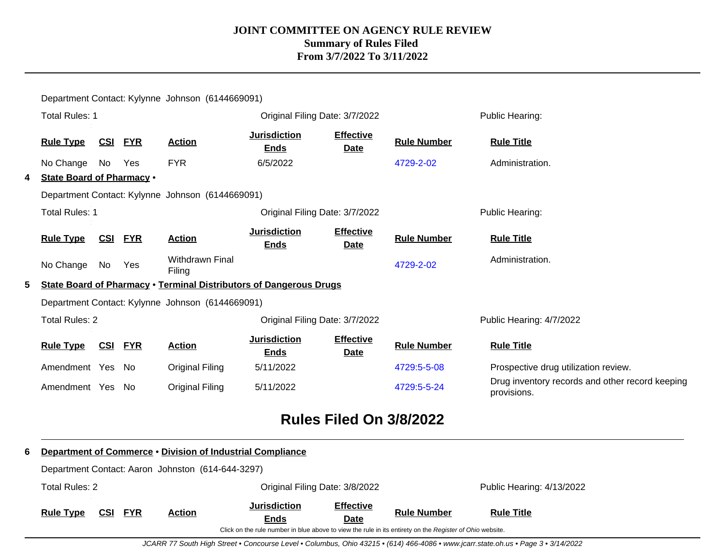|                                                         |                                                  | Department Contact: Kylynne Johnson (6144669091) |                |                                                                           |                                    |                                 |                                                                                                                                |                                                                |  |  |  |
|---------------------------------------------------------|--------------------------------------------------|--------------------------------------------------|----------------|---------------------------------------------------------------------------|------------------------------------|---------------------------------|--------------------------------------------------------------------------------------------------------------------------------|----------------------------------------------------------------|--|--|--|
|                                                         | <b>Total Rules: 1</b>                            |                                                  |                |                                                                           | Original Filing Date: 3/7/2022     |                                 |                                                                                                                                | Public Hearing:                                                |  |  |  |
|                                                         | <b>Rule Type</b>                                 |                                                  | <u>CSI FYR</u> | <b>Action</b>                                                             | <b>Jurisdiction</b><br><b>Ends</b> | <b>Effective</b><br><b>Date</b> | <b>Rule Number</b>                                                                                                             | <b>Rule Title</b>                                              |  |  |  |
|                                                         | No Change                                        | No                                               | Yes            | <b>FYR</b>                                                                | 6/5/2022                           |                                 | 4729-2-02                                                                                                                      | Administration.                                                |  |  |  |
| 4                                                       | <b>State Board of Pharmacy .</b>                 |                                                  |                |                                                                           |                                    |                                 |                                                                                                                                |                                                                |  |  |  |
|                                                         |                                                  |                                                  |                | Department Contact: Kylynne Johnson (6144669091)                          |                                    |                                 |                                                                                                                                |                                                                |  |  |  |
| <b>Total Rules: 1</b><br>Original Filing Date: 3/7/2022 |                                                  |                                                  |                |                                                                           |                                    |                                 |                                                                                                                                | Public Hearing:                                                |  |  |  |
|                                                         | <b>Rule Type</b>                                 |                                                  | <b>CSI FYR</b> | <b>Action</b>                                                             | <b>Jurisdiction</b><br><b>Ends</b> | <b>Effective</b><br><b>Date</b> | <b>Rule Number</b>                                                                                                             | <b>Rule Title</b>                                              |  |  |  |
|                                                         | No Change                                        | No                                               | Yes            | <b>Withdrawn Final</b><br>Filing                                          |                                    |                                 | 4729-2-02                                                                                                                      | Administration.                                                |  |  |  |
| 5.                                                      |                                                  |                                                  |                | <b>State Board of Pharmacy • Terminal Distributors of Dangerous Drugs</b> |                                    |                                 |                                                                                                                                |                                                                |  |  |  |
|                                                         | Department Contact: Kylynne Johnson (6144669091) |                                                  |                |                                                                           |                                    |                                 |                                                                                                                                |                                                                |  |  |  |
| <b>Total Rules: 2</b><br>Original Filing Date: 3/7/2022 |                                                  |                                                  |                |                                                                           |                                    |                                 | Public Hearing: 4/7/2022                                                                                                       |                                                                |  |  |  |
|                                                         | <b>Rule Type</b>                                 |                                                  | <b>CSI FYR</b> | <b>Action</b>                                                             | <b>Jurisdiction</b><br><b>Ends</b> | <b>Effective</b><br><b>Date</b> | <b>Rule Number</b>                                                                                                             | <b>Rule Title</b>                                              |  |  |  |
|                                                         | Amendment Yes No                                 |                                                  |                | <b>Original Filing</b>                                                    | 5/11/2022                          |                                 | 4729:5-5-08                                                                                                                    | Prospective drug utilization review.                           |  |  |  |
|                                                         | Amendment Yes No                                 |                                                  |                | <b>Original Filing</b>                                                    | 5/11/2022                          |                                 | 4729:5-5-24                                                                                                                    | Drug inventory records and other record keeping<br>provisions. |  |  |  |
| <b>Rules Filed On 3/8/2022</b>                          |                                                  |                                                  |                |                                                                           |                                    |                                 |                                                                                                                                |                                                                |  |  |  |
| 6                                                       |                                                  |                                                  |                | Department of Commerce . Division of Industrial Compliance                |                                    |                                 |                                                                                                                                |                                                                |  |  |  |
|                                                         |                                                  |                                                  |                | Department Contact: Aaron Johnston (614-644-3297)                         |                                    |                                 |                                                                                                                                |                                                                |  |  |  |
| <b>Total Rules: 2</b><br>Original Filing Date: 3/8/2022 |                                                  |                                                  |                |                                                                           |                                    | Public Hearing: 4/13/2022       |                                                                                                                                |                                                                |  |  |  |
|                                                         | <b>Rule Type</b>                                 | CSI                                              | <b>FYR</b>     | <b>Action</b>                                                             | <b>Jurisdiction</b><br>Ends        | <b>Effective</b><br>Date        | <b>Rule Number</b><br>Click on the rule number in blue above to view the rule in its entirety on the Register of Ohio website. | <b>Rule Title</b>                                              |  |  |  |

JCARR 77 South High Street • Concourse Level • Columbus, Ohio 43215 • (614) 466-4086 • www.jcarr.state.oh.us • Page 3 • 3/14/2022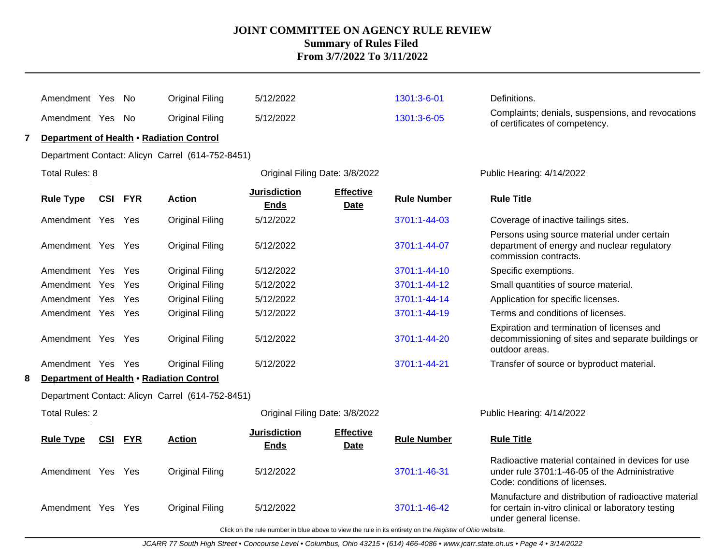|   | Amendment Yes                            |            | - No       | <b>Original Filing</b>                           | 5/12/2022                          |                          | 1301:3-6-01                                                                                              | Definitions.                                                                                                                          |
|---|------------------------------------------|------------|------------|--------------------------------------------------|------------------------------------|--------------------------|----------------------------------------------------------------------------------------------------------|---------------------------------------------------------------------------------------------------------------------------------------|
|   | Amendment Yes No                         |            |            | <b>Original Filing</b>                           | 5/12/2022                          |                          | 1301:3-6-05                                                                                              | Complaints; denials, suspensions, and revocations<br>of certificates of competency.                                                   |
|   |                                          |            |            | Department of Health • Radiation Control         |                                    |                          |                                                                                                          |                                                                                                                                       |
|   |                                          |            |            | Department Contact: Alicyn Carrel (614-752-8451) |                                    |                          |                                                                                                          |                                                                                                                                       |
|   | Total Rules: 8                           |            |            |                                                  | Original Filing Date: 3/8/2022     |                          |                                                                                                          | Public Hearing: 4/14/2022                                                                                                             |
|   | <b>Rule Type</b>                         | <u>CSI</u> | <b>FYR</b> | <b>Action</b>                                    | <b>Jurisdiction</b><br><b>Ends</b> | <b>Effective</b><br>Date | <b>Rule Number</b>                                                                                       | <b>Rule Title</b>                                                                                                                     |
|   | Amendment Yes                            |            | Yes        | <b>Original Filing</b>                           | 5/12/2022                          |                          | 3701:1-44-03                                                                                             | Coverage of inactive tailings sites.                                                                                                  |
|   | Amendment Yes Yes                        |            |            | <b>Original Filing</b>                           | 5/12/2022                          |                          | 3701:1-44-07                                                                                             | Persons using source material under certain<br>department of energy and nuclear regulatory<br>commission contracts.                   |
|   | Amendment Yes Yes                        |            |            | <b>Original Filing</b>                           | 5/12/2022                          |                          | 3701:1-44-10                                                                                             | Specific exemptions.                                                                                                                  |
|   | Amendment Yes                            |            | Yes        | <b>Original Filing</b>                           | 5/12/2022                          |                          | 3701:1-44-12                                                                                             | Small quantities of source material.                                                                                                  |
|   | Amendment Yes                            |            | Yes        | <b>Original Filing</b>                           | 5/12/2022                          |                          | 3701:1-44-14                                                                                             | Application for specific licenses.                                                                                                    |
|   | Amendment Yes Yes                        |            |            | <b>Original Filing</b>                           | 5/12/2022                          |                          | 3701:1-44-19                                                                                             | Terms and conditions of licenses.                                                                                                     |
|   | Amendment Yes Yes                        |            |            | <b>Original Filing</b>                           | 5/12/2022                          |                          | 3701:1-44-20                                                                                             | Expiration and termination of licenses and<br>decommissioning of sites and separate buildings or<br>outdoor areas.                    |
|   | Amendment Yes Yes                        |            |            | <b>Original Filing</b>                           | 5/12/2022                          |                          | 3701:1-44-21                                                                                             | Transfer of source or byproduct material.                                                                                             |
| 8 | Department of Health . Radiation Control |            |            |                                                  |                                    |                          |                                                                                                          |                                                                                                                                       |
|   |                                          |            |            | Department Contact: Alicyn Carrel (614-752-8451) |                                    |                          |                                                                                                          |                                                                                                                                       |
|   | <b>Total Rules: 2</b>                    |            |            |                                                  | Original Filing Date: 3/8/2022     |                          |                                                                                                          | Public Hearing: 4/14/2022                                                                                                             |
|   | <b>Rule Type</b>                         | <u>CSI</u> | <b>FYR</b> | <b>Action</b>                                    | <b>Jurisdiction</b><br><b>Ends</b> | <b>Effective</b><br>Date | <b>Rule Number</b>                                                                                       | <b>Rule Title</b>                                                                                                                     |
|   | Amendment Yes Yes                        |            |            | <b>Original Filing</b>                           | 5/12/2022                          |                          | 3701:1-46-31                                                                                             | Radioactive material contained in devices for use<br>under rule 3701:1-46-05 of the Administrative<br>Code: conditions of licenses.   |
|   | Amendment Yes Yes                        |            |            | <b>Original Filing</b>                           | 5/12/2022                          |                          | 3701:1-46-42                                                                                             | Manufacture and distribution of radioactive material<br>for certain in-vitro clinical or laboratory testing<br>under general license. |
|   |                                          |            |            |                                                  |                                    |                          | Click on the rule number in blue above to view the rule in its entirety on the Register of Ohio website. |                                                                                                                                       |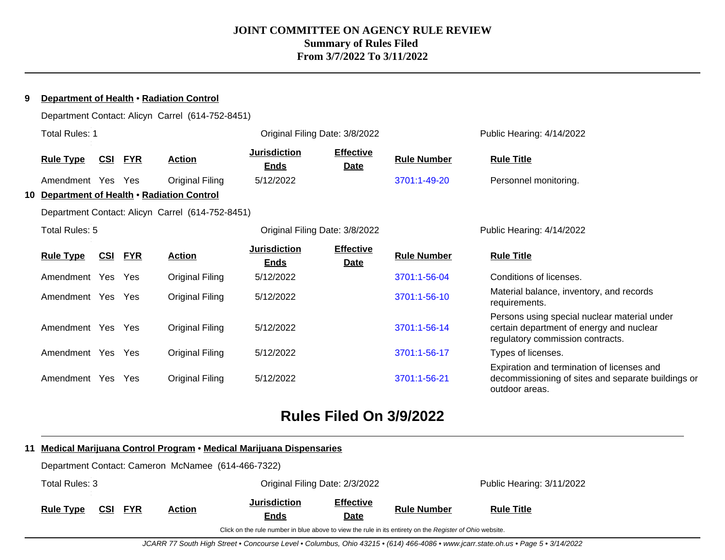| a | Department of Health • Radiation Control |            |            |                                                  |                                    |                                 |                    |                                                                                                                              |  |  |
|---|------------------------------------------|------------|------------|--------------------------------------------------|------------------------------------|---------------------------------|--------------------|------------------------------------------------------------------------------------------------------------------------------|--|--|
|   |                                          |            |            | Department Contact: Alicyn Carrel (614-752-8451) |                                    |                                 |                    |                                                                                                                              |  |  |
|   | <b>Total Rules: 1</b>                    |            |            |                                                  | Original Filing Date: 3/8/2022     |                                 |                    | Public Hearing: 4/14/2022                                                                                                    |  |  |
|   | <b>Rule Type</b>                         | <u>CSI</u> | <b>FYR</b> | <b>Action</b>                                    | <b>Jurisdiction</b><br><b>Ends</b> | <b>Effective</b><br><b>Date</b> | <b>Rule Number</b> | <b>Rule Title</b>                                                                                                            |  |  |
|   | Amendment Yes Yes                        |            |            | Original Filing                                  | 5/12/2022                          |                                 | 3701:1-49-20       | Personnel monitoring.                                                                                                        |  |  |
|   |                                          |            |            | 10 Department of Health . Radiation Control      |                                    |                                 |                    |                                                                                                                              |  |  |
|   |                                          |            |            | Department Contact: Alicyn Carrel (614-752-8451) |                                    |                                 |                    |                                                                                                                              |  |  |
|   | Total Rules: 5                           |            |            |                                                  | Original Filing Date: 3/8/2022     |                                 |                    | Public Hearing: 4/14/2022                                                                                                    |  |  |
|   | <b>Rule Type</b>                         | <u>CSI</u> | <b>FYR</b> | <b>Action</b>                                    | <b>Jurisdiction</b><br><b>Ends</b> | <b>Effective</b><br><b>Date</b> | <b>Rule Number</b> | <b>Rule Title</b>                                                                                                            |  |  |
|   | Amendment Yes Yes                        |            |            | <b>Original Filing</b>                           | 5/12/2022                          |                                 | 3701:1-56-04       | Conditions of licenses.                                                                                                      |  |  |
|   | Amendment Yes                            |            | Yes        | <b>Original Filing</b>                           | 5/12/2022                          |                                 | 3701:1-56-10       | Material balance, inventory, and records<br>requirements.                                                                    |  |  |
|   | Amendment Yes Yes                        |            |            | <b>Original Filing</b>                           | 5/12/2022                          |                                 | 3701:1-56-14       | Persons using special nuclear material under<br>certain department of energy and nuclear<br>regulatory commission contracts. |  |  |
|   | Amendment Yes Yes                        |            |            | Original Filing                                  | 5/12/2022                          |                                 | 3701:1-56-17       | Types of licenses.                                                                                                           |  |  |
|   | Amendment Yes                            |            | Yes        | Original Filing                                  | 5/12/2022                          |                                 | 3701:1-56-21       | Expiration and termination of licenses and<br>decommissioning of sites and separate buildings or<br>outdoor areas.           |  |  |

# **Rules Filed On 3/9/2022**

|                                                    |                                                                                                          |  |                |               | 11 Medical Marijuana Control Program • Medical Marijuana Dispensaries |                                 |                    |                           |  |
|----------------------------------------------------|----------------------------------------------------------------------------------------------------------|--|----------------|---------------|-----------------------------------------------------------------------|---------------------------------|--------------------|---------------------------|--|
| Department Contact: Cameron McNamee (614-466-7322) |                                                                                                          |  |                |               |                                                                       |                                 |                    |                           |  |
|                                                    | Total Rules: 3                                                                                           |  |                |               | Original Filing Date: 2/3/2022                                        |                                 |                    | Public Hearing: 3/11/2022 |  |
|                                                    | <b>Rule Type</b>                                                                                         |  | <b>CSI FYR</b> | <b>Action</b> | <b>Jurisdiction</b><br><b>Ends</b>                                    | <b>Effective</b><br><b>Date</b> | <b>Rule Number</b> | <b>Rule Title</b>         |  |
|                                                    | Click on the rule number in blue above to view the rule in its entirety on the Register of Ohio website. |  |                |               |                                                                       |                                 |                    |                           |  |

JCARR 77 South High Street • Concourse Level • Columbus, Ohio 43215 • (614) 466-4086 • www.jcarr.state.oh.us • Page 5 • 3/14/2022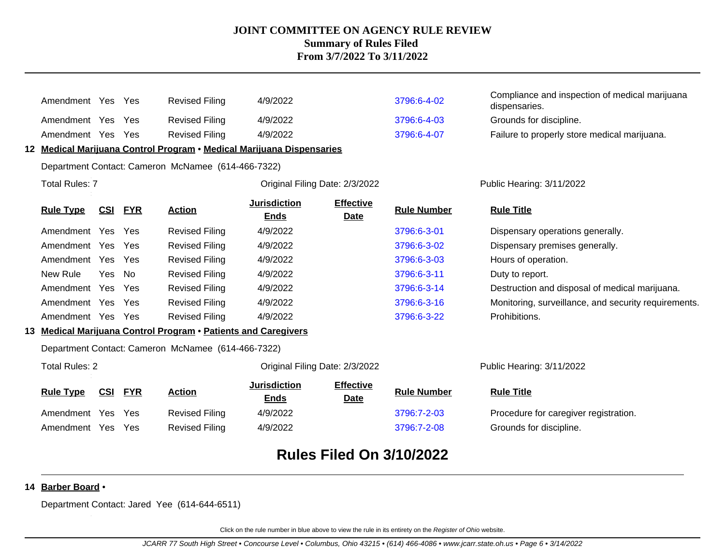|                                                    | Amendment Yes Yes     |            |            | <b>Revised Filing</b>                                                 | 4/9/2022                           |                                 | 3796:6-4-02        | Compliance and inspection of medical marijuana<br>dispensaries. |
|----------------------------------------------------|-----------------------|------------|------------|-----------------------------------------------------------------------|------------------------------------|---------------------------------|--------------------|-----------------------------------------------------------------|
|                                                    | Amendment Yes Yes     |            |            | <b>Revised Filing</b>                                                 | 4/9/2022                           |                                 | 3796:6-4-03        | Grounds for discipline.                                         |
|                                                    | Amendment Yes         |            | Yes        | <b>Revised Filing</b>                                                 | 4/9/2022                           |                                 | 3796:6-4-07        | Failure to properly store medical marijuana.                    |
|                                                    |                       |            |            | 12 Medical Marijuana Control Program • Medical Marijuana Dispensaries |                                    |                                 |                    |                                                                 |
| Department Contact: Cameron McNamee (614-466-7322) |                       |            |            |                                                                       |                                    |                                 |                    |                                                                 |
|                                                    | <b>Total Rules: 7</b> |            |            |                                                                       | Original Filing Date: 2/3/2022     |                                 |                    | Public Hearing: 3/11/2022                                       |
|                                                    | <b>Rule Type</b>      | <u>CSI</u> | <u>FYR</u> | <b>Action</b>                                                         | <b>Jurisdiction</b><br><b>Ends</b> | <b>Effective</b><br><b>Date</b> | <b>Rule Number</b> | <b>Rule Title</b>                                               |
|                                                    | Amendment Yes         |            | Yes        | <b>Revised Filing</b>                                                 | 4/9/2022                           |                                 | 3796:6-3-01        | Dispensary operations generally.                                |
|                                                    | Amendment Yes         |            | Yes        | <b>Revised Filing</b>                                                 | 4/9/2022                           |                                 | 3796:6-3-02        | Dispensary premises generally.                                  |
|                                                    | Amendment Yes         |            | Yes        | <b>Revised Filing</b>                                                 | 4/9/2022                           |                                 | 3796:6-3-03        | Hours of operation.                                             |
|                                                    | New Rule              | Yes        | <b>No</b>  | <b>Revised Filing</b>                                                 | 4/9/2022                           |                                 | 3796:6-3-11        | Duty to report.                                                 |
|                                                    | Amendment Yes Yes     |            |            | <b>Revised Filing</b>                                                 | 4/9/2022                           |                                 | 3796:6-3-14        | Destruction and disposal of medical marijuana.                  |
|                                                    | Amendment Yes         |            | Yes        | <b>Revised Filing</b>                                                 | 4/9/2022                           |                                 | 3796:6-3-16        | Monitoring, surveillance, and security requirements.            |
|                                                    | Amendment Yes Yes     |            |            | <b>Revised Filing</b>                                                 | 4/9/2022                           |                                 | 3796:6-3-22        | Prohibitions.                                                   |
|                                                    |                       |            |            | 13 Medical Marijuana Control Program . Patients and Caregivers        |                                    |                                 |                    |                                                                 |
|                                                    |                       |            |            | Department Contact: Cameron McNamee (614-466-7322)                    |                                    |                                 |                    |                                                                 |
| <b>Total Rules: 2</b>                              |                       |            |            |                                                                       | Original Filing Date: 2/3/2022     |                                 |                    | Public Hearing: 3/11/2022                                       |
|                                                    | <b>Rule Type</b>      | CSI        | <b>FYR</b> | <b>Action</b>                                                         | <b>Jurisdiction</b><br><b>Ends</b> | <b>Effective</b><br>Date        | <b>Rule Number</b> | <b>Rule Title</b>                                               |
|                                                    | Amendment Yes         |            | Yes        | <b>Revised Filing</b>                                                 | 4/9/2022                           |                                 | 3796:7-2-03        | Procedure for caregiver registration.                           |
|                                                    | Amendment Yes         |            | Yes        | <b>Revised Filing</b>                                                 | 4/9/2022                           |                                 | 3796:7-2-08        | Grounds for discipline.                                         |
|                                                    |                       |            |            |                                                                       |                                    | <b>Rules Filed On 3/10/2022</b> |                    |                                                                 |

#### **14 Barber Board** •

Department Contact: Jared Yee (614-644-6511)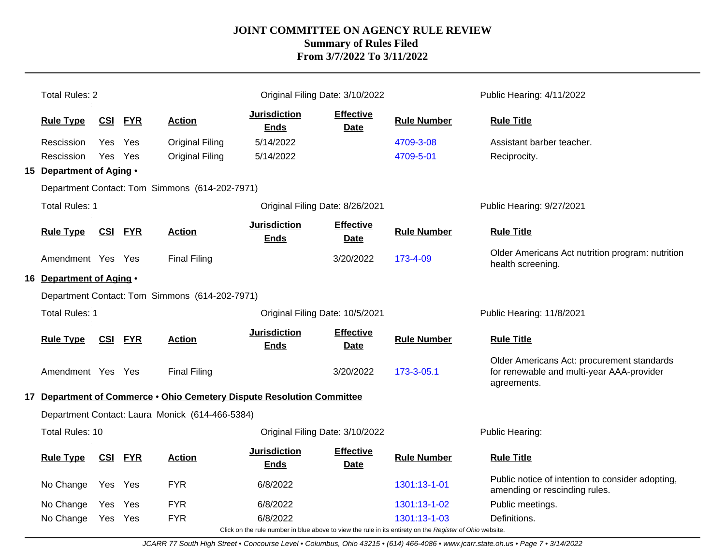| <b>Total Rules: 2</b>                              |            |                |                                                                        |                                                                                                          | Original Filing Date: 3/10/2022 |                    | Public Hearing: 4/11/2022                                                                              |  |
|----------------------------------------------------|------------|----------------|------------------------------------------------------------------------|----------------------------------------------------------------------------------------------------------|---------------------------------|--------------------|--------------------------------------------------------------------------------------------------------|--|
| <b>Rule Type</b>                                   | <b>CSI</b> | <b>FYR</b>     | <b>Action</b>                                                          | <b>Jurisdiction</b><br><b>Ends</b>                                                                       | <b>Effective</b><br><b>Date</b> | <b>Rule Number</b> | <b>Rule Title</b>                                                                                      |  |
| Rescission                                         | Yes        | Yes            | <b>Original Filing</b>                                                 | 5/14/2022                                                                                                |                                 | 4709-3-08          | Assistant barber teacher.                                                                              |  |
| Rescission                                         | Yes Yes    |                | <b>Original Filing</b>                                                 | 5/14/2022                                                                                                |                                 | 4709-5-01          | Reciprocity.                                                                                           |  |
| 15 Department of Aging .                           |            |                |                                                                        |                                                                                                          |                                 |                    |                                                                                                        |  |
|                                                    |            |                | Department Contact: Tom Simmons (614-202-7971)                         |                                                                                                          |                                 |                    |                                                                                                        |  |
| <b>Total Rules: 1</b>                              |            |                |                                                                        | Original Filing Date: 8/26/2021                                                                          |                                 |                    | Public Hearing: 9/27/2021                                                                              |  |
| <b>Rule Type</b>                                   | <b>CSI</b> | <b>FYR</b>     | <b>Action</b>                                                          | <b>Jurisdiction</b><br><b>Ends</b>                                                                       | <b>Effective</b><br><b>Date</b> | <b>Rule Number</b> | <b>Rule Title</b>                                                                                      |  |
| Amendment Yes Yes                                  |            |                | <b>Final Filing</b>                                                    |                                                                                                          | 3/20/2022                       | 173-4-09           | Older Americans Act nutrition program: nutrition<br>health screening.                                  |  |
| 16 Department of Aging .                           |            |                |                                                                        |                                                                                                          |                                 |                    |                                                                                                        |  |
| Department Contact: Tom Simmons (614-202-7971)     |            |                |                                                                        |                                                                                                          |                                 |                    |                                                                                                        |  |
| <b>Total Rules: 1</b>                              |            |                |                                                                        |                                                                                                          | Original Filing Date: 10/5/2021 |                    | Public Hearing: 11/8/2021                                                                              |  |
| <b>Rule Type</b>                                   |            | <b>CSI FYR</b> | <b>Action</b>                                                          | <b>Jurisdiction</b><br><b>Ends</b>                                                                       | <b>Effective</b><br><b>Date</b> | <b>Rule Number</b> | <b>Rule Title</b>                                                                                      |  |
| Amendment Yes Yes                                  |            |                | <b>Final Filing</b>                                                    |                                                                                                          | 3/20/2022                       | 173-3-05.1         | Older Americans Act: procurement standards<br>for renewable and multi-year AAA-provider<br>agreements. |  |
|                                                    |            |                | 17 Department of Commerce . Ohio Cemetery Dispute Resolution Committee |                                                                                                          |                                 |                    |                                                                                                        |  |
|                                                    |            |                | Department Contact: Laura Monick (614-466-5384)                        |                                                                                                          |                                 |                    |                                                                                                        |  |
| Total Rules: 10<br>Original Filing Date: 3/10/2022 |            |                |                                                                        |                                                                                                          |                                 |                    | Public Hearing:                                                                                        |  |
| <b>Rule Type</b>                                   | CSI        | <b>FYR</b>     | <b>Action</b>                                                          | <b>Jurisdiction</b><br><b>Ends</b>                                                                       | <b>Effective</b><br><b>Date</b> | <b>Rule Number</b> | <b>Rule Title</b>                                                                                      |  |
| No Change                                          | Yes        | Yes            | <b>FYR</b>                                                             | 6/8/2022                                                                                                 |                                 | 1301:13-1-01       | Public notice of intention to consider adopting,<br>amending or rescinding rules.                      |  |
| No Change                                          | <b>Yes</b> | Yes            | <b>FYR</b>                                                             | 6/8/2022                                                                                                 |                                 | 1301:13-1-02       | Public meetings.                                                                                       |  |
| No Change                                          | Yes Yes    |                | <b>FYR</b>                                                             | 6/8/2022                                                                                                 |                                 | 1301:13-1-03       | Definitions.                                                                                           |  |
|                                                    |            |                |                                                                        | Click on the rule number in blue above to view the rule in its entirety on the Register of Ohio website. |                                 |                    |                                                                                                        |  |

JCARR 77 South High Street • Concourse Level • Columbus, Ohio 43215 • (614) 466-4086 • www.jcarr.state.oh.us • Page 7 • 3/14/2022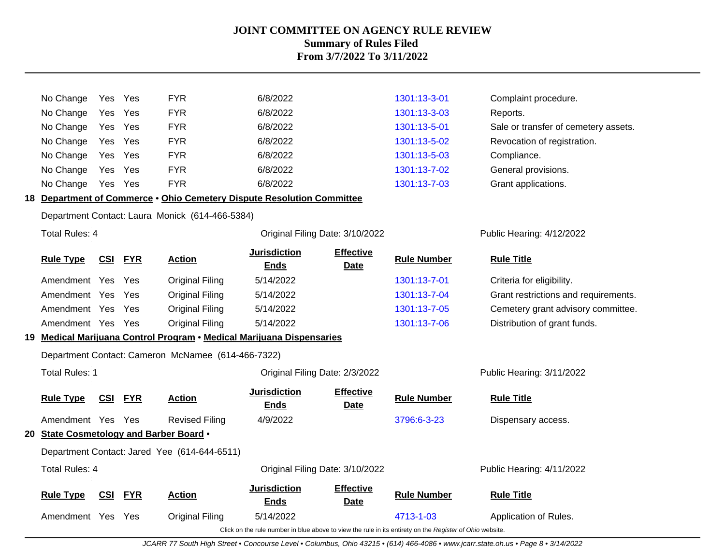| No Change                               | Yes        | Yes        | <b>FYR</b>                                                             | 6/8/2022                                                                                                 |                                 | 1301:13-3-01       | Complaint procedure.                 |
|-----------------------------------------|------------|------------|------------------------------------------------------------------------|----------------------------------------------------------------------------------------------------------|---------------------------------|--------------------|--------------------------------------|
| No Change                               | Yes        | Yes        | <b>FYR</b>                                                             | 6/8/2022                                                                                                 |                                 | 1301:13-3-03       | Reports.                             |
| No Change                               |            | Yes Yes    | <b>FYR</b>                                                             | 6/8/2022                                                                                                 |                                 | 1301:13-5-01       | Sale or transfer of cemetery assets. |
| No Change                               | Yes        | Yes        | <b>FYR</b>                                                             | 6/8/2022                                                                                                 |                                 | 1301:13-5-02       | Revocation of registration.          |
| No Change                               | Yes        | Yes        | <b>FYR</b>                                                             | 6/8/2022                                                                                                 |                                 | 1301:13-5-03       | Compliance.                          |
| No Change                               | Yes        | Yes        | <b>FYR</b>                                                             | 6/8/2022                                                                                                 |                                 | 1301:13-7-02       | General provisions.                  |
| No Change                               | Yes        | Yes        | <b>FYR</b>                                                             | 6/8/2022                                                                                                 |                                 | 1301:13-7-03       | Grant applications.                  |
|                                         |            |            | 18 Department of Commerce . Ohio Cemetery Dispute Resolution Committee |                                                                                                          |                                 |                    |                                      |
|                                         |            |            | Department Contact: Laura Monick (614-466-5384)                        |                                                                                                          |                                 |                    |                                      |
| <b>Total Rules: 4</b>                   |            |            |                                                                        |                                                                                                          | Original Filing Date: 3/10/2022 |                    | Public Hearing: 4/12/2022            |
| <b>Rule Type</b>                        | <u>CSI</u> | <b>FYR</b> | <b>Action</b>                                                          | <b>Jurisdiction</b><br><b>Ends</b>                                                                       | <b>Effective</b><br><b>Date</b> | <b>Rule Number</b> | <b>Rule Title</b>                    |
| Amendment Yes Yes                       |            |            | <b>Original Filing</b>                                                 | 5/14/2022                                                                                                |                                 | 1301:13-7-01       | Criteria for eligibility.            |
| Amendment Yes                           |            | - Yes      | <b>Original Filing</b>                                                 | 5/14/2022                                                                                                |                                 | 1301:13-7-04       | Grant restrictions and requirements. |
| Amendment Yes                           |            | Yes        | <b>Original Filing</b>                                                 | 5/14/2022                                                                                                |                                 | 1301:13-7-05       | Cemetery grant advisory committee.   |
| Amendment Yes Yes                       |            |            | <b>Original Filing</b>                                                 | 5/14/2022                                                                                                |                                 | 1301:13-7-06       | Distribution of grant funds.         |
|                                         |            |            | 19 Medical Marijuana Control Program • Medical Marijuana Dispensaries  |                                                                                                          |                                 |                    |                                      |
|                                         |            |            | Department Contact: Cameron McNamee (614-466-7322)                     |                                                                                                          |                                 |                    |                                      |
| <b>Total Rules: 1</b>                   |            |            |                                                                        |                                                                                                          | Original Filing Date: 2/3/2022  |                    | Public Hearing: 3/11/2022            |
| <b>Rule Type</b>                        |            | CSI FYR    | <b>Action</b>                                                          | <b>Jurisdiction</b><br><b>Ends</b>                                                                       | <b>Effective</b><br><b>Date</b> | <b>Rule Number</b> | <b>Rule Title</b>                    |
| Amendment Yes Yes                       |            |            | <b>Revised Filing</b>                                                  | 4/9/2022                                                                                                 |                                 | 3796:6-3-23        | Dispensary access.                   |
| 20 State Cosmetology and Barber Board . |            |            |                                                                        |                                                                                                          |                                 |                    |                                      |
|                                         |            |            | Department Contact: Jared Yee (614-644-6511)                           |                                                                                                          |                                 |                    |                                      |
| <b>Total Rules: 4</b>                   |            |            |                                                                        |                                                                                                          | Original Filing Date: 3/10/2022 |                    | Public Hearing: 4/11/2022            |
| <b>Rule Type</b>                        | <b>CSI</b> | <b>FYR</b> | <b>Action</b>                                                          | <b>Jurisdiction</b><br><b>Ends</b>                                                                       | <b>Effective</b><br><b>Date</b> | <b>Rule Number</b> | <b>Rule Title</b>                    |
| Amendment Yes                           |            | Yes        | <b>Original Filing</b>                                                 | 5/14/2022                                                                                                |                                 | 4713-1-03          | Application of Rules.                |
|                                         |            |            |                                                                        | Click on the rule number in blue above to view the rule in its entirety on the Register of Ohio website. |                                 |                    |                                      |

JCARR 77 South High Street • Concourse Level • Columbus, Ohio 43215 • (614) 466-4086 • www.jcarr.state.oh.us • Page 8 • 3/14/2022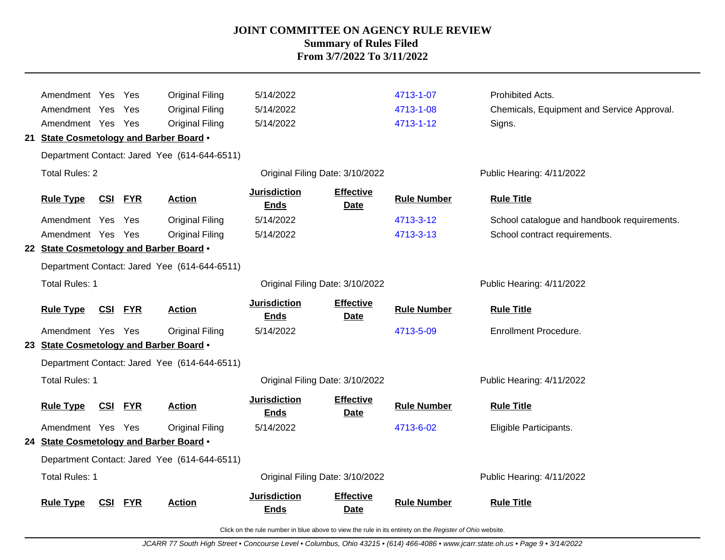| Amendment Yes Yes                       |            |                | <b>Original Filing</b>                       | 5/14/2022                          |                                 | 4713-1-07          | Prohibited Acts.                            |
|-----------------------------------------|------------|----------------|----------------------------------------------|------------------------------------|---------------------------------|--------------------|---------------------------------------------|
| Amendment Yes                           |            | Yes            | <b>Original Filing</b>                       | 5/14/2022                          |                                 | 4713-1-08          | Chemicals, Equipment and Service Approval.  |
| Amendment Yes Yes                       |            |                | <b>Original Filing</b>                       | 5/14/2022                          |                                 | 4713-1-12          | Signs.                                      |
| 21 State Cosmetology and Barber Board . |            |                |                                              |                                    |                                 |                    |                                             |
|                                         |            |                | Department Contact: Jared Yee (614-644-6511) |                                    |                                 |                    |                                             |
| <b>Total Rules: 2</b>                   |            |                |                                              | Original Filing Date: 3/10/2022    |                                 |                    | Public Hearing: 4/11/2022                   |
| <b>Rule Type</b>                        | <u>CSI</u> | <b>FYR</b>     | <b>Action</b>                                | <b>Jurisdiction</b><br><b>Ends</b> | <b>Effective</b><br><b>Date</b> | <b>Rule Number</b> | <b>Rule Title</b>                           |
| Amendment Yes                           |            | Yes            | <b>Original Filing</b>                       | 5/14/2022                          |                                 | 4713-3-12          | School catalogue and handbook requirements. |
| Amendment Yes Yes                       |            |                | <b>Original Filing</b>                       | 5/14/2022                          |                                 | 4713-3-13          | School contract requirements.               |
| 22 State Cosmetology and Barber Board . |            |                |                                              |                                    |                                 |                    |                                             |
|                                         |            |                | Department Contact: Jared Yee (614-644-6511) |                                    |                                 |                    |                                             |
| <b>Total Rules: 1</b>                   |            |                |                                              | Original Filing Date: 3/10/2022    |                                 |                    | Public Hearing: 4/11/2022                   |
| <b>Rule Type</b>                        | <u>CSI</u> | <u>FYR</u>     | <b>Action</b>                                | <b>Jurisdiction</b><br><b>Ends</b> | <b>Effective</b><br><b>Date</b> | <b>Rule Number</b> | <b>Rule Title</b>                           |
| Amendment Yes Yes                       |            |                | <b>Original Filing</b>                       | 5/14/2022                          |                                 | 4713-5-09          | Enrollment Procedure.                       |
| 23 State Cosmetology and Barber Board . |            |                |                                              |                                    |                                 |                    |                                             |
|                                         |            |                | Department Contact: Jared Yee (614-644-6511) |                                    |                                 |                    |                                             |
| <b>Total Rules: 1</b>                   |            |                |                                              | Original Filing Date: 3/10/2022    |                                 |                    | Public Hearing: 4/11/2022                   |
| <b>Rule Type</b>                        |            | <b>CSI FYR</b> | <b>Action</b>                                | <b>Jurisdiction</b><br><b>Ends</b> | <b>Effective</b><br><b>Date</b> | <b>Rule Number</b> | <b>Rule Title</b>                           |
| Amendment Yes Yes                       |            |                | <b>Original Filing</b>                       | 5/14/2022                          |                                 | 4713-6-02          | Eligible Participants.                      |
| 24 State Cosmetology and Barber Board . |            |                |                                              |                                    |                                 |                    |                                             |
|                                         |            |                | Department Contact: Jared Yee (614-644-6511) |                                    |                                 |                    |                                             |
| <b>Total Rules: 1</b>                   |            |                |                                              | Original Filing Date: 3/10/2022    |                                 |                    | Public Hearing: 4/11/2022                   |
| <b>Rule Type</b>                        | CSI        | <b>FYR</b>     | <b>Action</b>                                | <b>Jurisdiction</b><br><b>Ends</b> | <b>Effective</b><br>Date        | <b>Rule Number</b> | <b>Rule Title</b>                           |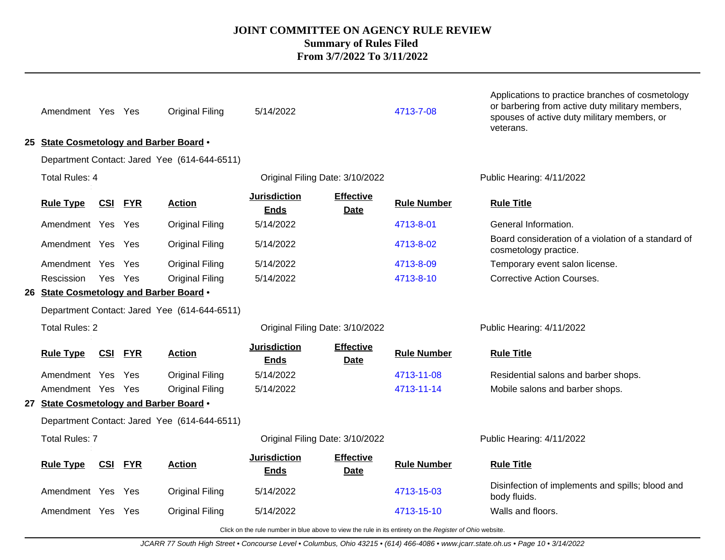| Amendment Yes Yes     |            |            | <b>Original Filing</b>                       | 5/14/2022                          |                                 | 4713-7-08                                                                                                | Applications to practice branches of cosmetology<br>or barbering from active duty military members,<br>spouses of active duty military members, or<br>veterans. |  |  |
|-----------------------|------------|------------|----------------------------------------------|------------------------------------|---------------------------------|----------------------------------------------------------------------------------------------------------|-----------------------------------------------------------------------------------------------------------------------------------------------------------------|--|--|
|                       |            |            | 25 State Cosmetology and Barber Board .      |                                    |                                 |                                                                                                          |                                                                                                                                                                 |  |  |
|                       |            |            | Department Contact: Jared Yee (614-644-6511) |                                    |                                 |                                                                                                          |                                                                                                                                                                 |  |  |
| <b>Total Rules: 4</b> |            |            |                                              |                                    | Original Filing Date: 3/10/2022 |                                                                                                          | Public Hearing: 4/11/2022                                                                                                                                       |  |  |
| <b>Rule Type</b>      | <u>CSI</u> | <b>FYR</b> | <b>Action</b>                                | <b>Jurisdiction</b><br><b>Ends</b> | <b>Effective</b><br><b>Date</b> | <b>Rule Number</b>                                                                                       | <b>Rule Title</b>                                                                                                                                               |  |  |
| Amendment Yes Yes     |            |            | <b>Original Filing</b>                       | 5/14/2022                          |                                 | 4713-8-01                                                                                                | General Information.                                                                                                                                            |  |  |
| Amendment Yes Yes     |            |            | Original Filing                              | 5/14/2022                          |                                 | 4713-8-02                                                                                                | Board consideration of a violation of a standard of<br>cosmetology practice.                                                                                    |  |  |
| Amendment Yes Yes     |            |            | <b>Original Filing</b>                       | 5/14/2022                          |                                 | 4713-8-09                                                                                                | Temporary event salon license.                                                                                                                                  |  |  |
| Rescission            | Yes Yes    |            | Original Filing                              | 5/14/2022                          |                                 | 4713-8-10                                                                                                | <b>Corrective Action Courses.</b>                                                                                                                               |  |  |
|                       |            |            | 26 State Cosmetology and Barber Board .      |                                    |                                 |                                                                                                          |                                                                                                                                                                 |  |  |
|                       |            |            | Department Contact: Jared Yee (614-644-6511) |                                    |                                 |                                                                                                          |                                                                                                                                                                 |  |  |
| <b>Total Rules: 2</b> |            |            |                                              |                                    | Original Filing Date: 3/10/2022 |                                                                                                          | Public Hearing: 4/11/2022                                                                                                                                       |  |  |
| <b>Rule Type</b>      | <u>CSI</u> | <b>FYR</b> | <b>Action</b>                                | <b>Jurisdiction</b><br><b>Ends</b> | <b>Effective</b><br><b>Date</b> | <b>Rule Number</b>                                                                                       | <b>Rule Title</b>                                                                                                                                               |  |  |
| Amendment Yes         |            | Yes        | <b>Original Filing</b>                       | 5/14/2022                          |                                 | 4713-11-08                                                                                               | Residential salons and barber shops.                                                                                                                            |  |  |
| Amendment Yes Yes     |            |            | <b>Original Filing</b>                       | 5/14/2022                          |                                 | 4713-11-14                                                                                               | Mobile salons and barber shops.                                                                                                                                 |  |  |
|                       |            |            | 27 State Cosmetology and Barber Board .      |                                    |                                 |                                                                                                          |                                                                                                                                                                 |  |  |
|                       |            |            | Department Contact: Jared Yee (614-644-6511) |                                    |                                 |                                                                                                          |                                                                                                                                                                 |  |  |
| <b>Total Rules: 7</b> |            |            |                                              |                                    | Original Filing Date: 3/10/2022 |                                                                                                          | Public Hearing: 4/11/2022<br><b>Rule Title</b><br>Disinfection of implements and spills; blood and<br>body fluids.                                              |  |  |
| <b>Rule Type</b>      | <u>CSI</u> | <b>FYR</b> | <b>Action</b>                                | <b>Jurisdiction</b><br><b>Ends</b> | <b>Effective</b><br><b>Date</b> | <b>Rule Number</b>                                                                                       |                                                                                                                                                                 |  |  |
| Amendment Yes Yes     |            |            | Original Filing                              | 5/14/2022                          |                                 | 4713-15-03                                                                                               |                                                                                                                                                                 |  |  |
| Amendment Yes Yes     |            |            | <b>Original Filing</b>                       | 5/14/2022                          |                                 | 4713-15-10                                                                                               | Walls and floors.                                                                                                                                               |  |  |
|                       |            |            |                                              |                                    |                                 | Click on the rule number in blue above to view the rule in its entirety on the Register of Ohio website. |                                                                                                                                                                 |  |  |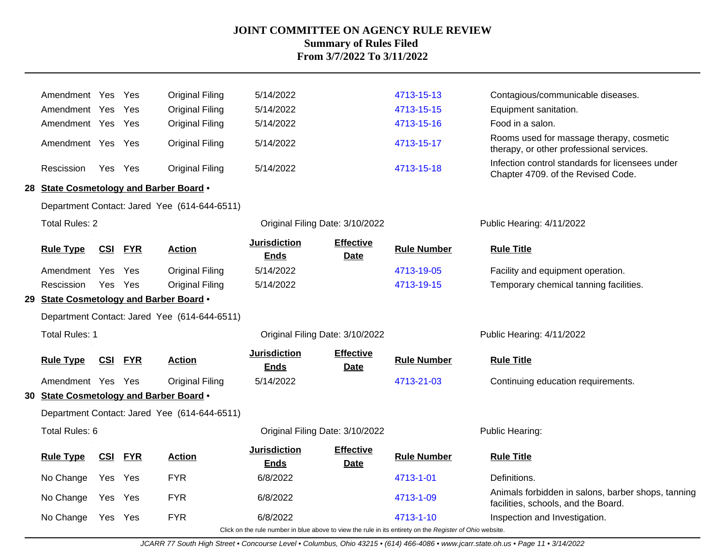| Amendment Yes                           |            | Yes        | <b>Original Filing</b>                       | 5/14/2022                          |                                 | 4713-15-13                                                                                               | Contagious/communicable diseases.                                                         |
|-----------------------------------------|------------|------------|----------------------------------------------|------------------------------------|---------------------------------|----------------------------------------------------------------------------------------------------------|-------------------------------------------------------------------------------------------|
| Amendment Yes                           |            | Yes        | <b>Original Filing</b>                       | 5/14/2022                          |                                 | 4713-15-15                                                                                               | Equipment sanitation.                                                                     |
| Amendment Yes Yes                       |            |            | Original Filing                              | 5/14/2022                          |                                 | 4713-15-16                                                                                               | Food in a salon.                                                                          |
| Amendment Yes Yes                       |            |            | <b>Original Filing</b>                       | 5/14/2022                          |                                 | 4713-15-17                                                                                               | Rooms used for massage therapy, cosmetic<br>therapy, or other professional services.      |
| Rescission                              | Yes Yes    |            | <b>Original Filing</b>                       | 5/14/2022                          |                                 | 4713-15-18                                                                                               | Infection control standards for licensees under<br>Chapter 4709. of the Revised Code.     |
| 28 State Cosmetology and Barber Board . |            |            |                                              |                                    |                                 |                                                                                                          |                                                                                           |
|                                         |            |            | Department Contact: Jared Yee (614-644-6511) |                                    |                                 |                                                                                                          |                                                                                           |
| <b>Total Rules: 2</b>                   |            |            |                                              | Original Filing Date: 3/10/2022    |                                 |                                                                                                          | Public Hearing: 4/11/2022                                                                 |
| <b>Rule Type</b>                        | <u>CSI</u> | <b>FYR</b> | <b>Action</b>                                | <b>Jurisdiction</b><br><b>Ends</b> | <b>Effective</b><br><b>Date</b> | <b>Rule Number</b>                                                                                       | <b>Rule Title</b>                                                                         |
| Amendment Yes                           |            | Yes        | <b>Original Filing</b>                       | 5/14/2022                          |                                 | 4713-19-05                                                                                               | Facility and equipment operation.                                                         |
| Rescission                              | Yes        | Yes        | Original Filing                              | 5/14/2022                          |                                 | 4713-19-15                                                                                               | Temporary chemical tanning facilities.                                                    |
| 29 State Cosmetology and Barber Board . |            |            |                                              |                                    |                                 |                                                                                                          |                                                                                           |
|                                         |            |            | Department Contact: Jared Yee (614-644-6511) |                                    |                                 |                                                                                                          |                                                                                           |
| Total Rules: 1                          |            |            |                                              | Original Filing Date: 3/10/2022    |                                 |                                                                                                          | Public Hearing: 4/11/2022                                                                 |
| <b>Rule Type</b>                        | <b>CSI</b> | <b>FYR</b> | <b>Action</b>                                | <b>Jurisdiction</b><br><b>Ends</b> | <b>Effective</b><br><b>Date</b> | <b>Rule Number</b>                                                                                       | <b>Rule Title</b>                                                                         |
| Amendment Yes Yes                       |            |            | <b>Original Filing</b>                       | 5/14/2022                          |                                 | 4713-21-03                                                                                               | Continuing education requirements.                                                        |
| 30 State Cosmetology and Barber Board . |            |            |                                              |                                    |                                 |                                                                                                          |                                                                                           |
|                                         |            |            | Department Contact: Jared Yee (614-644-6511) |                                    |                                 |                                                                                                          |                                                                                           |
| Total Rules: 6                          |            |            |                                              | Original Filing Date: 3/10/2022    |                                 |                                                                                                          | Public Hearing:                                                                           |
| <b>Rule Type</b>                        | <u>CSI</u> | <b>FYR</b> | <b>Action</b>                                | <b>Jurisdiction</b><br><b>Ends</b> | <b>Effective</b><br><b>Date</b> | <b>Rule Number</b>                                                                                       | <b>Rule Title</b>                                                                         |
| No Change                               | Yes        | Yes        | <b>FYR</b>                                   | 6/8/2022                           |                                 | 4713-1-01                                                                                                | Definitions.                                                                              |
| No Change                               | Yes        | Yes        | <b>FYR</b>                                   | 6/8/2022                           |                                 | 4713-1-09                                                                                                | Animals forbidden in salons, barber shops, tanning<br>facilities, schools, and the Board. |
| No Change                               | Yes Yes    |            | <b>FYR</b>                                   | 6/8/2022                           |                                 | 4713-1-10                                                                                                | Inspection and Investigation.                                                             |
|                                         |            |            |                                              |                                    |                                 | Click on the rule number in blue above to view the rule in its entirety on the Register of Ohio website. |                                                                                           |

JCARR 77 South High Street • Concourse Level • Columbus, Ohio 43215 • (614) 466-4086 • www.jcarr.state.oh.us • Page 11 • 3/14/2022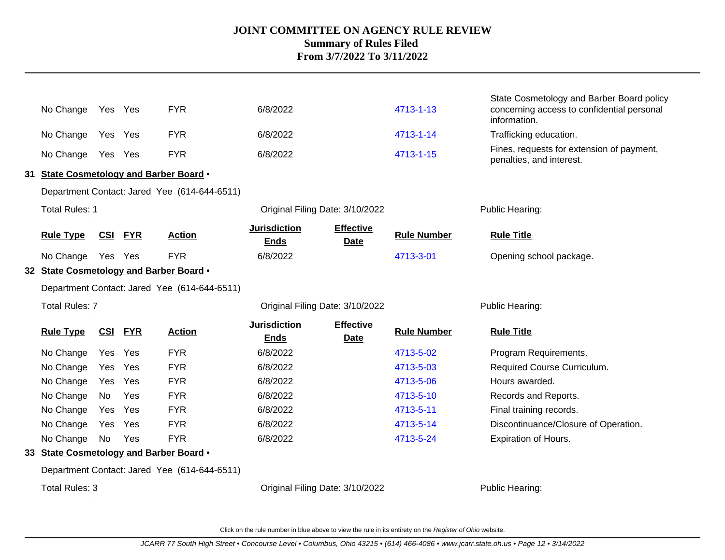| No Change                               | Yes Yes    |            | <b>FYR</b>                                   | 6/8/2022                           |                                 | 4713-1-13          | State Cosmetology and Barber Board policy<br>concerning access to confidential personal<br>information. |
|-----------------------------------------|------------|------------|----------------------------------------------|------------------------------------|---------------------------------|--------------------|---------------------------------------------------------------------------------------------------------|
| No Change                               | Yes Yes    |            | <b>FYR</b>                                   | 6/8/2022                           |                                 | 4713-1-14          | Trafficking education.                                                                                  |
| No Change                               | Yes Yes    |            | <b>FYR</b>                                   | 6/8/2022                           |                                 | 4713-1-15          | Fines, requests for extension of payment,<br>penalties, and interest.                                   |
| 31 State Cosmetology and Barber Board . |            |            |                                              |                                    |                                 |                    |                                                                                                         |
|                                         |            |            | Department Contact: Jared Yee (614-644-6511) |                                    |                                 |                    |                                                                                                         |
| <b>Total Rules: 1</b>                   |            |            |                                              | Original Filing Date: 3/10/2022    |                                 |                    | Public Hearing:                                                                                         |
| <b>Rule Type</b>                        | <u>CSI</u> | <b>FYR</b> | <b>Action</b>                                | <b>Jurisdiction</b><br><b>Ends</b> | <b>Effective</b><br><b>Date</b> | <b>Rule Number</b> | <b>Rule Title</b>                                                                                       |
| No Change                               | Yes Yes    |            | <b>FYR</b>                                   | 6/8/2022                           |                                 | 4713-3-01          | Opening school package.                                                                                 |
| 32 State Cosmetology and Barber Board . |            |            |                                              |                                    |                                 |                    |                                                                                                         |
|                                         |            |            | Department Contact: Jared Yee (614-644-6511) |                                    |                                 |                    |                                                                                                         |
| <b>Total Rules: 7</b>                   |            |            |                                              | Original Filing Date: 3/10/2022    |                                 |                    | Public Hearing:                                                                                         |
| <b>Rule Type</b>                        | <b>CSI</b> | <b>FYR</b> | <b>Action</b>                                | <b>Jurisdiction</b><br><b>Ends</b> | <b>Effective</b><br><b>Date</b> | <b>Rule Number</b> | <b>Rule Title</b>                                                                                       |
| No Change                               | Yes        | Yes        | <b>FYR</b>                                   | 6/8/2022                           |                                 | 4713-5-02          | Program Requirements.                                                                                   |
| No Change                               | Yes        | Yes        | <b>FYR</b>                                   | 6/8/2022                           |                                 | 4713-5-03          | Required Course Curriculum.                                                                             |
| No Change                               | Yes        | Yes        | <b>FYR</b>                                   | 6/8/2022                           |                                 | 4713-5-06          | Hours awarded.                                                                                          |
| No Change                               | No.        | Yes        | <b>FYR</b>                                   | 6/8/2022                           |                                 | 4713-5-10          | Records and Reports.                                                                                    |
| No Change                               | Yes        | Yes        | <b>FYR</b>                                   | 6/8/2022                           |                                 | 4713-5-11          | Final training records.                                                                                 |
| No Change                               | Yes        | Yes        | <b>FYR</b>                                   | 6/8/2022                           |                                 | 4713-5-14          | Discontinuance/Closure of Operation.                                                                    |
| No Change                               | No         | Yes        | <b>FYR</b>                                   | 6/8/2022                           |                                 | 4713-5-24          | Expiration of Hours.                                                                                    |
| 33 State Cosmetology and Barber Board . |            |            |                                              |                                    |                                 |                    |                                                                                                         |
|                                         |            |            | Department Contact: Jared Yee (614-644-6511) |                                    |                                 |                    |                                                                                                         |
| Total Rules: 3                          |            |            |                                              | Original Filing Date: 3/10/2022    |                                 |                    | Public Hearing:                                                                                         |

Click on the rule number in blue above to view the rule in its entirety on the Register of Ohio website.

. .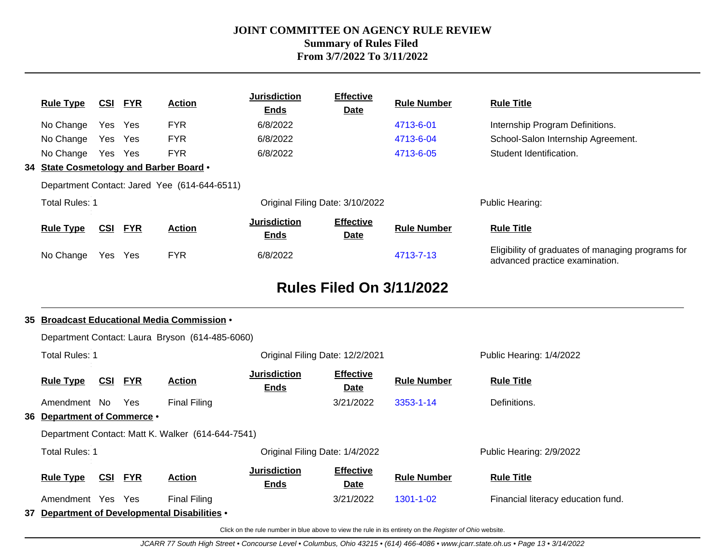| <b>Rule Type</b>                        | CSI     | <b>FYR</b> | <b>Action</b>                                | <b>Jurisdiction</b><br><b>Ends</b> | <b>Effective</b><br><b>Date</b> | <b>Rule Number</b> | <b>Rule Title</b>                                                                   |
|-----------------------------------------|---------|------------|----------------------------------------------|------------------------------------|---------------------------------|--------------------|-------------------------------------------------------------------------------------|
| No Change                               | Yes Yes |            | <b>FYR</b>                                   | 6/8/2022                           |                                 | 4713-6-01          | Internship Program Definitions.                                                     |
| No Change                               | Yes Yes |            | <b>FYR</b>                                   | 6/8/2022                           |                                 | 4713-6-04          | School-Salon Internship Agreement.                                                  |
| No Change                               | Yes Yes |            | <b>FYR</b>                                   | 6/8/2022                           |                                 | 4713-6-05          | Student Identification.                                                             |
| 34 State Cosmetology and Barber Board . |         |            |                                              |                                    |                                 |                    |                                                                                     |
|                                         |         |            | Department Contact: Jared Yee (614-644-6511) |                                    |                                 |                    |                                                                                     |
| <b>Total Rules: 1</b>                   |         |            |                                              | Original Filing Date: 3/10/2022    |                                 |                    | Public Hearing:                                                                     |
| <b>Rule Type</b>                        | CSI     | <b>FYR</b> | <b>Action</b>                                | <b>Jurisdiction</b><br><b>Ends</b> | <b>Effective</b><br><b>Date</b> | <b>Rule Number</b> | <b>Rule Title</b>                                                                   |
| No Change                               | Yes     | Yes        | <b>FYR</b>                                   | 6/8/2022                           |                                 | 4713-7-13          | Eligibility of graduates of managing programs for<br>advanced practice examination. |

# **Rules Filed On 3/11/2022**

#### **35 Broadcast Educational Media Commission** •

|                             |            |            | Department Contact: Laura Bryson (614-485-6060)   |                                    |                          |                    |                                    |
|-----------------------------|------------|------------|---------------------------------------------------|------------------------------------|--------------------------|--------------------|------------------------------------|
| <b>Total Rules: 1</b>       |            |            |                                                   | Original Filing Date: 12/2/2021    |                          |                    | Public Hearing: 1/4/2022           |
| <b>Rule Type</b>            | <u>CSI</u> | <u>FYR</u> | <b>Action</b>                                     | <b>Jurisdiction</b><br><b>Ends</b> | <b>Effective</b><br>Date | <b>Rule Number</b> | <b>Rule Title</b>                  |
| Amendment No                |            | Yes        | <b>Final Filing</b>                               |                                    | 3/21/2022                | 3353-1-14          | Definitions.                       |
| 36 Department of Commerce . |            |            |                                                   |                                    |                          |                    |                                    |
|                             |            |            | Department Contact: Matt K. Walker (614-644-7541) |                                    |                          |                    |                                    |
| <b>Total Rules: 1</b>       |            |            |                                                   | Original Filing Date: 1/4/2022     |                          |                    | Public Hearing: 2/9/2022           |
| <b>Rule Type</b>            | <u>CSI</u> | <b>FYR</b> | <b>Action</b>                                     | <b>Jurisdiction</b><br><b>Ends</b> | <b>Effective</b><br>Date | <b>Rule Number</b> | <b>Rule Title</b>                  |
| Amendment Yes Yes           |            |            | <b>Final Filing</b>                               |                                    | 3/21/2022                | 1301-1-02          | Financial literacy education fund. |
|                             |            |            | 37 Department of Developmental Disabilities .     |                                    |                          |                    |                                    |
|                             |            |            |                                                   |                                    |                          |                    |                                    |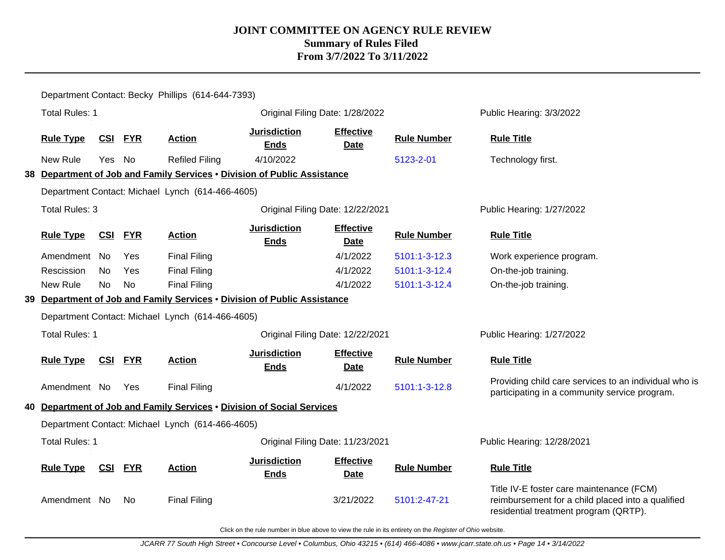|                       |            |            | Department Contact: Becky Phillips (614-644-7393)                        |                                    |                                 |                    |                                                                                                                                        |
|-----------------------|------------|------------|--------------------------------------------------------------------------|------------------------------------|---------------------------------|--------------------|----------------------------------------------------------------------------------------------------------------------------------------|
| <b>Total Rules: 1</b> |            |            |                                                                          | Original Filing Date: 1/28/2022    |                                 |                    | Public Hearing: 3/3/2022                                                                                                               |
| <b>Rule Type</b>      | <u>CSI</u> | <b>FYR</b> | <b>Action</b>                                                            | <b>Jurisdiction</b><br><b>Ends</b> | <b>Effective</b><br><b>Date</b> | <b>Rule Number</b> | <b>Rule Title</b>                                                                                                                      |
| New Rule              | Yes No     |            | <b>Refiled Filing</b>                                                    | 4/10/2022                          |                                 | 5123-2-01          | Technology first.                                                                                                                      |
|                       |            |            | 38 Department of Job and Family Services . Division of Public Assistance |                                    |                                 |                    |                                                                                                                                        |
|                       |            |            | Department Contact: Michael Lynch (614-466-4605)                         |                                    |                                 |                    |                                                                                                                                        |
| <b>Total Rules: 3</b> |            |            |                                                                          | Original Filing Date: 12/22/2021   |                                 |                    | Public Hearing: 1/27/2022                                                                                                              |
| <b>Rule Type</b>      | <u>CSI</u> | <b>FYR</b> | <b>Action</b>                                                            | <b>Jurisdiction</b><br><b>Ends</b> | <b>Effective</b><br><b>Date</b> | <b>Rule Number</b> | <b>Rule Title</b>                                                                                                                      |
| Amendment No          |            | Yes        | <b>Final Filing</b>                                                      |                                    | 4/1/2022                        | 5101:1-3-12.3      | Work experience program.                                                                                                               |
| Rescission            | No         | Yes        | <b>Final Filing</b>                                                      |                                    | 4/1/2022                        | 5101:1-3-12.4      | On-the-job training.                                                                                                                   |
| New Rule              | <b>No</b>  | <b>No</b>  | <b>Final Filing</b>                                                      |                                    | 4/1/2022                        | 5101:1-3-12.4      | On-the-job training.                                                                                                                   |
|                       |            |            | 39 Department of Job and Family Services . Division of Public Assistance |                                    |                                 |                    |                                                                                                                                        |
|                       |            |            | Department Contact: Michael Lynch (614-466-4605)                         |                                    |                                 |                    |                                                                                                                                        |
| <b>Total Rules: 1</b> |            |            |                                                                          | Original Filing Date: 12/22/2021   |                                 |                    | Public Hearing: 1/27/2022                                                                                                              |
| <b>Rule Type</b>      | <u>CSI</u> | <b>FYR</b> | <b>Action</b>                                                            | <b>Jurisdiction</b><br><b>Ends</b> | <b>Effective</b><br><b>Date</b> | <b>Rule Number</b> | <b>Rule Title</b>                                                                                                                      |
| Amendment No          |            | Yes        | <b>Final Filing</b>                                                      |                                    | 4/1/2022                        | 5101:1-3-12.8      | Providing child care services to an individual who is<br>participating in a community service program.                                 |
|                       |            |            | 40 Department of Job and Family Services . Division of Social Services   |                                    |                                 |                    |                                                                                                                                        |
|                       |            |            | Department Contact: Michael Lynch (614-466-4605)                         |                                    |                                 |                    |                                                                                                                                        |
| <b>Total Rules: 1</b> |            |            |                                                                          | Original Filing Date: 11/23/2021   |                                 |                    | Public Hearing: 12/28/2021                                                                                                             |
| <b>Rule Type</b>      | <u>CSI</u> | <b>FYR</b> | <b>Action</b>                                                            | <b>Jurisdiction</b><br><b>Ends</b> | <b>Effective</b><br>Date        | <b>Rule Number</b> | <b>Rule Title</b>                                                                                                                      |
| Amendment No          |            | No.        | <b>Final Filing</b>                                                      |                                    | 3/21/2022                       | 5101:2-47-21       | Title IV-E foster care maintenance (FCM)<br>reimbursement for a child placed into a qualified<br>residential treatment program (QRTP). |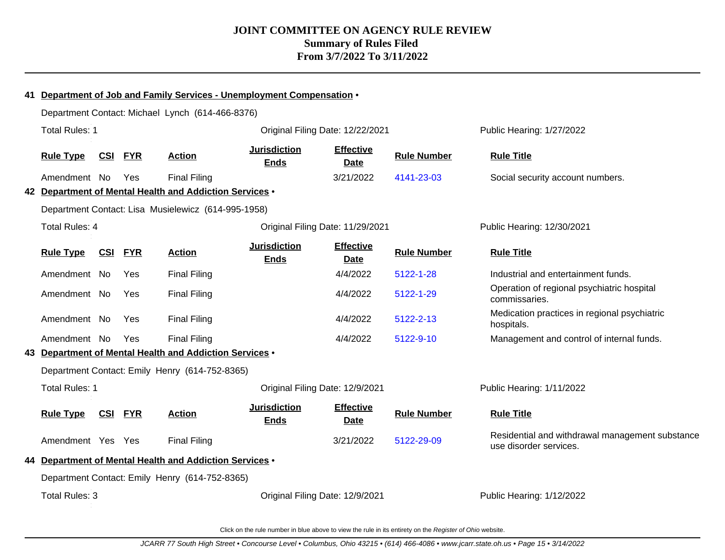|                       |            |                | 41 Department of Job and Family Services - Unemployment Compensation • |                                    |                                 |                    |                                                                           |
|-----------------------|------------|----------------|------------------------------------------------------------------------|------------------------------------|---------------------------------|--------------------|---------------------------------------------------------------------------|
|                       |            |                | Department Contact: Michael Lynch (614-466-8376)                       |                                    |                                 |                    |                                                                           |
| <b>Total Rules: 1</b> |            |                |                                                                        | Original Filing Date: 12/22/2021   |                                 |                    | Public Hearing: 1/27/2022                                                 |
| <b>Rule Type</b>      | CSI        | <b>FYR</b>     | <b>Action</b>                                                          | <b>Jurisdiction</b><br><b>Ends</b> | <b>Effective</b><br><b>Date</b> | <b>Rule Number</b> | <b>Rule Title</b>                                                         |
| Amendment No          |            | Yes            | <b>Final Filing</b>                                                    |                                    | 3/21/2022                       | 4141-23-03         | Social security account numbers.                                          |
|                       |            |                | 42 Department of Mental Health and Addiction Services .                |                                    |                                 |                    |                                                                           |
|                       |            |                | Department Contact: Lisa Musielewicz (614-995-1958)                    |                                    |                                 |                    |                                                                           |
| <b>Total Rules: 4</b> |            |                |                                                                        | Original Filing Date: 11/29/2021   |                                 |                    | Public Hearing: 12/30/2021                                                |
| <b>Rule Type</b>      | <b>CSI</b> | <b>FYR</b>     | <b>Action</b>                                                          | <b>Jurisdiction</b><br><b>Ends</b> | <b>Effective</b><br><b>Date</b> | <b>Rule Number</b> | <b>Rule Title</b>                                                         |
| Amendment No          |            | Yes            | <b>Final Filing</b>                                                    |                                    | 4/4/2022                        | 5122-1-28          | Industrial and entertainment funds.                                       |
| Amendment No          |            | Yes            | <b>Final Filing</b>                                                    |                                    | 4/4/2022                        | 5122-1-29          | Operation of regional psychiatric hospital<br>commissaries.               |
| Amendment No          |            | Yes            | <b>Final Filing</b>                                                    |                                    | 4/4/2022                        | 5122-2-13          | Medication practices in regional psychiatric<br>hospitals.                |
| Amendment No          |            | Yes            | <b>Final Filing</b>                                                    |                                    | 4/4/2022                        | 5122-9-10          | Management and control of internal funds.                                 |
|                       |            |                | 43 Department of Mental Health and Addiction Services .                |                                    |                                 |                    |                                                                           |
|                       |            |                | Department Contact: Emily Henry (614-752-8365)                         |                                    |                                 |                    |                                                                           |
| <b>Total Rules: 1</b> |            |                |                                                                        | Original Filing Date: 12/9/2021    |                                 |                    | Public Hearing: 1/11/2022                                                 |
| <b>Rule Type</b>      |            | <b>CSI FYR</b> | <b>Action</b>                                                          | <b>Jurisdiction</b><br><b>Ends</b> | <b>Effective</b><br><b>Date</b> | <b>Rule Number</b> | <b>Rule Title</b>                                                         |
| Amendment Yes Yes     |            |                | <b>Final Filing</b>                                                    |                                    | 3/21/2022                       | 5122-29-09         | Residential and withdrawal management substance<br>use disorder services. |
|                       |            |                | 44 Department of Mental Health and Addiction Services .                |                                    |                                 |                    |                                                                           |
|                       |            |                | Department Contact: Emily Henry (614-752-8365)                         |                                    |                                 |                    |                                                                           |
| Total Rules: 3        |            |                |                                                                        | Original Filing Date: 12/9/2021    |                                 |                    | Public Hearing: 1/12/2022                                                 |
|                       |            |                |                                                                        |                                    |                                 |                    |                                                                           |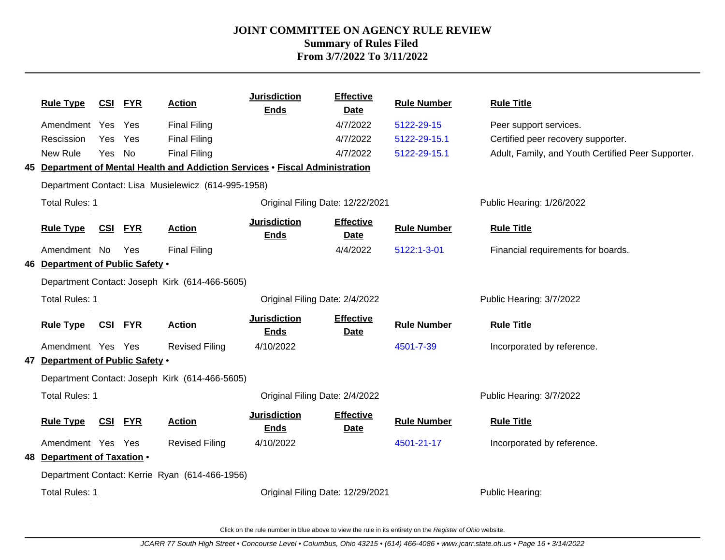| <b>Rule Type</b>                 | <b>CSI</b> | <u>FYR</u> | <b>Action</b>                                       | <b>Jurisdiction</b><br><b>Ends</b>                                            | <b>Effective</b><br><b>Date</b> | <b>Rule Number</b> | <b>Rule Title</b>                                  |
|----------------------------------|------------|------------|-----------------------------------------------------|-------------------------------------------------------------------------------|---------------------------------|--------------------|----------------------------------------------------|
| Amendment Yes                    |            | Yes        | <b>Final Filing</b>                                 |                                                                               | 4/7/2022                        | 5122-29-15         | Peer support services.                             |
| Rescission                       | Yes        | Yes        | <b>Final Filing</b>                                 |                                                                               | 4/7/2022                        | 5122-29-15.1       | Certified peer recovery supporter.                 |
| New Rule                         | Yes        | No         | <b>Final Filing</b>                                 |                                                                               | 4/7/2022                        | 5122-29-15.1       | Adult, Family, and Youth Certified Peer Supporter. |
|                                  |            |            |                                                     | 45 Department of Mental Health and Addiction Services . Fiscal Administration |                                 |                    |                                                    |
|                                  |            |            | Department Contact: Lisa Musielewicz (614-995-1958) |                                                                               |                                 |                    |                                                    |
| <b>Total Rules: 1</b>            |            |            |                                                     | Original Filing Date: 12/22/2021                                              |                                 |                    | Public Hearing: 1/26/2022                          |
| <b>Rule Type</b>                 | CSI        | <b>FYR</b> | <b>Action</b>                                       | <b>Jurisdiction</b><br><b>Ends</b>                                            | <b>Effective</b><br><b>Date</b> | <b>Rule Number</b> | <b>Rule Title</b>                                  |
| Amendment No                     |            | Yes        | <b>Final Filing</b>                                 |                                                                               | 4/4/2022                        | 5122:1-3-01        | Financial requirements for boards.                 |
| 46 Department of Public Safety . |            |            |                                                     |                                                                               |                                 |                    |                                                    |
|                                  |            |            | Department Contact: Joseph Kirk (614-466-5605)      |                                                                               |                                 |                    |                                                    |
| Total Rules: 1                   |            |            |                                                     | Original Filing Date: 2/4/2022                                                |                                 |                    | Public Hearing: 3/7/2022                           |
| <b>Rule Type</b>                 | CSI        | <b>FYR</b> | <b>Action</b>                                       | <b>Jurisdiction</b><br><b>Ends</b>                                            | <b>Effective</b><br><b>Date</b> | <b>Rule Number</b> | <b>Rule Title</b>                                  |
| Amendment Yes Yes                |            |            | <b>Revised Filing</b>                               | 4/10/2022                                                                     |                                 | 4501-7-39          | Incorporated by reference.                         |
| 47 Department of Public Safety . |            |            |                                                     |                                                                               |                                 |                    |                                                    |
|                                  |            |            | Department Contact: Joseph Kirk (614-466-5605)      |                                                                               |                                 |                    |                                                    |
| <b>Total Rules: 1</b>            |            |            |                                                     | Original Filing Date: 2/4/2022                                                |                                 |                    | Public Hearing: 3/7/2022                           |
| <b>Rule Type</b>                 | <u>CSI</u> | <u>FYR</u> | <b>Action</b>                                       | <b>Jurisdiction</b><br><b>Ends</b>                                            | <b>Effective</b><br><b>Date</b> | <b>Rule Number</b> | <b>Rule Title</b>                                  |
| Amendment Yes Yes                |            |            | <b>Revised Filing</b>                               | 4/10/2022                                                                     |                                 | 4501-21-17         | Incorporated by reference.                         |
| 48 Department of Taxation .      |            |            |                                                     |                                                                               |                                 |                    |                                                    |
|                                  |            |            | Department Contact: Kerrie Ryan (614-466-1956)      |                                                                               |                                 |                    |                                                    |
| <b>Total Rules: 1</b>            |            |            |                                                     | Original Filing Date: 12/29/2021                                              |                                 |                    | Public Hearing:                                    |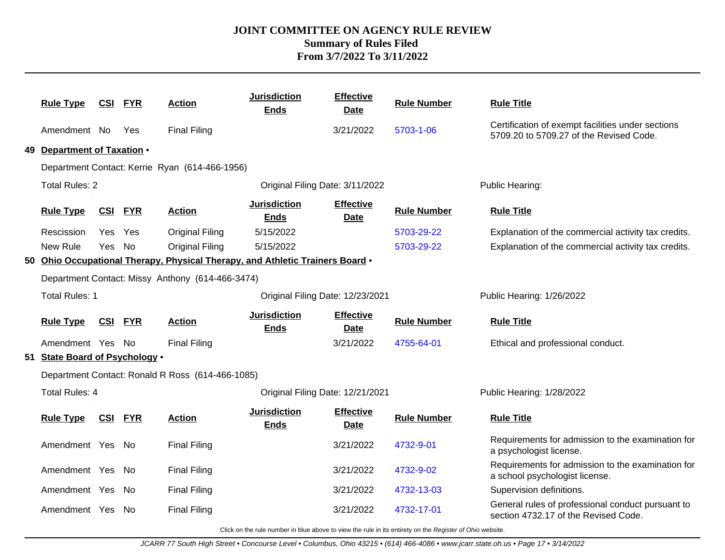| <b>Rule Type</b>               | <u>CSI</u>     | <u>FYR</u> | <b>Action</b>                                                                 | <b>Jurisdiction</b><br><b>Ends</b> | <b>Effective</b><br><b>Date</b> | <b>Rule Number</b> | <b>Rule Title</b>                                                                            |
|--------------------------------|----------------|------------|-------------------------------------------------------------------------------|------------------------------------|---------------------------------|--------------------|----------------------------------------------------------------------------------------------|
| Amendment No                   |                | Yes        | <b>Final Filing</b>                                                           |                                    | 3/21/2022                       | 5703-1-06          | Certification of exempt facilities under sections<br>5709.20 to 5709.27 of the Revised Code. |
| 49 Department of Taxation .    |                |            |                                                                               |                                    |                                 |                    |                                                                                              |
|                                |                |            | Department Contact: Kerrie Ryan (614-466-1956)                                |                                    |                                 |                    |                                                                                              |
| <b>Total Rules: 2</b>          |                |            |                                                                               | Original Filing Date: 3/11/2022    |                                 |                    | Public Hearing:                                                                              |
| <b>Rule Type</b>               | <u>CSI</u>     | <b>FYR</b> | <b>Action</b>                                                                 | <b>Jurisdiction</b><br><b>Ends</b> | <b>Effective</b><br><b>Date</b> | <b>Rule Number</b> | <b>Rule Title</b>                                                                            |
| Rescission                     | Yes Yes        |            | <b>Original Filing</b>                                                        | 5/15/2022                          |                                 | 5703-29-22         | Explanation of the commercial activity tax credits.                                          |
| New Rule                       | Yes            | No         | <b>Original Filing</b>                                                        | 5/15/2022                          |                                 | 5703-29-22         | Explanation of the commercial activity tax credits.                                          |
|                                |                |            | 50 Ohio Occupational Therapy, Physical Therapy, and Athletic Trainers Board . |                                    |                                 |                    |                                                                                              |
|                                |                |            | Department Contact: Missy Anthony (614-466-3474)                              |                                    |                                 |                    |                                                                                              |
| <b>Total Rules: 1</b>          |                |            |                                                                               | Original Filing Date: 12/23/2021   |                                 |                    | Public Hearing: 1/26/2022                                                                    |
| <b>Rule Type</b>               | <b>CSI FYR</b> |            | <b>Action</b>                                                                 | <b>Jurisdiction</b><br><b>Ends</b> | <b>Effective</b><br><b>Date</b> | <b>Rule Number</b> | <b>Rule Title</b>                                                                            |
| Amendment Yes No               |                |            | <b>Final Filing</b>                                                           |                                    | 3/21/2022                       | 4755-64-01         | Ethical and professional conduct.                                                            |
| 51 State Board of Psychology . |                |            |                                                                               |                                    |                                 |                    |                                                                                              |
|                                |                |            | Department Contact: Ronald R Ross (614-466-1085)                              |                                    |                                 |                    |                                                                                              |
| <b>Total Rules: 4</b>          |                |            |                                                                               | Original Filing Date: 12/21/2021   |                                 |                    | Public Hearing: 1/28/2022                                                                    |
| <b>Rule Type</b>               | <u>CSI</u>     | <b>FYR</b> | <b>Action</b>                                                                 | <b>Jurisdiction</b><br><b>Ends</b> | <b>Effective</b><br><u>Date</u> | <b>Rule Number</b> | <b>Rule Title</b>                                                                            |
| Amendment Yes No               |                |            | <b>Final Filing</b>                                                           |                                    | 3/21/2022                       | 4732-9-01          | Requirements for admission to the examination for<br>a psychologist license.                 |
| Amendment Yes No               |                |            | <b>Final Filing</b>                                                           |                                    | 3/21/2022                       | 4732-9-02          | Requirements for admission to the examination for<br>a school psychologist license.          |
| Amendment Yes                  |                | No         | <b>Final Filing</b>                                                           |                                    | 3/21/2022                       | 4732-13-03         | Supervision definitions.                                                                     |
| Amendment Yes No               |                |            | <b>Final Filing</b>                                                           |                                    | 3/21/2022                       | 4732-17-01         | General rules of professional conduct pursuant to<br>section 4732.17 of the Revised Code.    |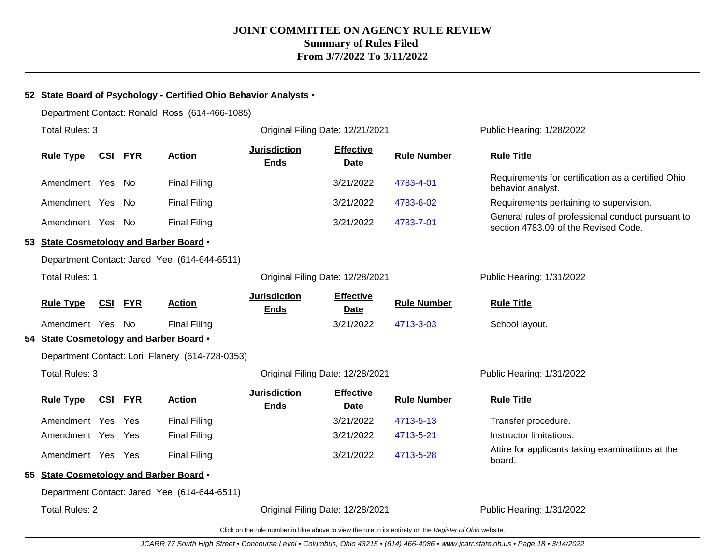#### **52 State Board of Psychology - Certified Ohio Behavior Analysts** •

Department Contact: Ronald Ross (614-466-1085)

| Total Rules: 3                          |            |            |                                                 | Original Filing Date: 12/21/2021   |                                 |                    | Public Hearing: 1/28/2022                                                                 |
|-----------------------------------------|------------|------------|-------------------------------------------------|------------------------------------|---------------------------------|--------------------|-------------------------------------------------------------------------------------------|
| <b>Rule Type</b>                        | <b>CSI</b> | <b>FYR</b> | <b>Action</b>                                   | <b>Jurisdiction</b><br><b>Ends</b> | <b>Effective</b><br><b>Date</b> | <b>Rule Number</b> | <b>Rule Title</b>                                                                         |
| Amendment Yes No                        |            |            | <b>Final Filing</b>                             |                                    | 3/21/2022                       | 4783-4-01          | Requirements for certification as a certified Ohio<br>behavior analyst.                   |
| Amendment Yes No                        |            |            | <b>Final Filing</b>                             |                                    | 3/21/2022                       | 4783-6-02          | Requirements pertaining to supervision.                                                   |
| Amendment Yes No                        |            |            | <b>Final Filing</b>                             |                                    | 3/21/2022                       | 4783-7-01          | General rules of professional conduct pursuant to<br>section 4783.09 of the Revised Code. |
| 53 State Cosmetology and Barber Board . |            |            |                                                 |                                    |                                 |                    |                                                                                           |
|                                         |            |            | Department Contact: Jared Yee (614-644-6511)    |                                    |                                 |                    |                                                                                           |
| <b>Total Rules: 1</b>                   |            |            |                                                 | Original Filing Date: 12/28/2021   |                                 |                    | Public Hearing: 1/31/2022                                                                 |
| <b>Rule Type</b>                        | <u>CSI</u> | <b>FYR</b> | <b>Action</b>                                   | <b>Jurisdiction</b><br><b>Ends</b> | <b>Effective</b><br><b>Date</b> | <b>Rule Number</b> | <b>Rule Title</b>                                                                         |
| Amendment Yes No                        |            |            | <b>Final Filing</b>                             |                                    | 3/21/2022                       | 4713-3-03          | School layout.                                                                            |
| 54 State Cosmetology and Barber Board . |            |            |                                                 |                                    |                                 |                    |                                                                                           |
|                                         |            |            | Department Contact: Lori Flanery (614-728-0353) |                                    |                                 |                    |                                                                                           |
| Total Rules: 3                          |            |            |                                                 | Original Filing Date: 12/28/2021   |                                 |                    | Public Hearing: 1/31/2022                                                                 |
| <b>Rule Type</b>                        | <u>CSI</u> | <b>FYR</b> | <b>Action</b>                                   | <b>Jurisdiction</b><br><b>Ends</b> | <b>Effective</b><br><b>Date</b> | <b>Rule Number</b> | <b>Rule Title</b>                                                                         |
| Amendment Yes Yes                       |            |            | <b>Final Filing</b>                             |                                    | 3/21/2022                       | 4713-5-13          | Transfer procedure.                                                                       |
| Amendment Yes Yes                       |            |            | <b>Final Filing</b>                             |                                    | 3/21/2022                       | 4713-5-21          | Instructor limitations.                                                                   |
| Amendment Yes Yes                       |            |            | <b>Final Filing</b>                             |                                    | 3/21/2022                       | 4713-5-28          | Attire for applicants taking examinations at the<br>board.                                |
| 55 State Cosmetology and Barber Board . |            |            |                                                 |                                    |                                 |                    |                                                                                           |
|                                         |            |            | Department Contact: Jared Yee (614-644-6511)    |                                    |                                 |                    |                                                                                           |
| <b>Total Rules: 2</b>                   |            |            |                                                 | Original Filing Date: 12/28/2021   |                                 |                    | Public Hearing: 1/31/2022                                                                 |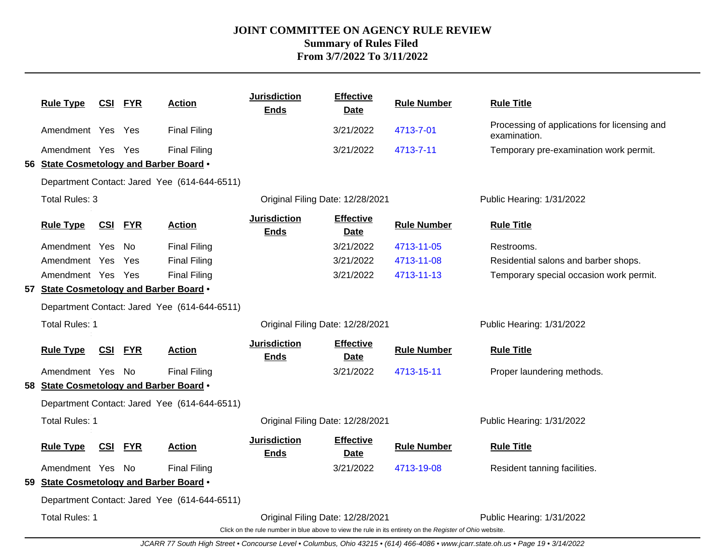| <b>Rule Type</b>                        | <u>CSI FYR</u> |            | <b>Action</b>                                | <b>Jurisdiction</b><br><b>Ends</b> | <b>Effective</b><br>Date        | <b>Rule Number</b>                                                                                       | <b>Rule Title</b>                                            |
|-----------------------------------------|----------------|------------|----------------------------------------------|------------------------------------|---------------------------------|----------------------------------------------------------------------------------------------------------|--------------------------------------------------------------|
| Amendment Yes Yes                       |                |            | <b>Final Filing</b>                          |                                    | 3/21/2022                       | 4713-7-01                                                                                                | Processing of applications for licensing and<br>examination. |
| Amendment Yes Yes                       |                |            | <b>Final Filing</b>                          |                                    | 3/21/2022                       | 4713-7-11                                                                                                | Temporary pre-examination work permit.                       |
| 56 State Cosmetology and Barber Board . |                |            |                                              |                                    |                                 |                                                                                                          |                                                              |
|                                         |                |            | Department Contact: Jared Yee (614-644-6511) |                                    |                                 |                                                                                                          |                                                              |
| <b>Total Rules: 3</b>                   |                |            |                                              | Original Filing Date: 12/28/2021   |                                 |                                                                                                          | Public Hearing: 1/31/2022                                    |
| <b>Rule Type</b>                        | <u>CSI</u>     | <b>FYR</b> | <b>Action</b>                                | <b>Jurisdiction</b><br><b>Ends</b> | <b>Effective</b><br>Date        | <b>Rule Number</b>                                                                                       | <b>Rule Title</b>                                            |
| Amendment Yes                           |                | - No       | <b>Final Filing</b>                          |                                    | 3/21/2022                       | 4713-11-05                                                                                               | Restrooms.                                                   |
| Amendment Yes                           |                | Yes        | <b>Final Filing</b>                          |                                    | 3/21/2022                       | 4713-11-08                                                                                               | Residential salons and barber shops.                         |
| Amendment Yes Yes                       |                |            | <b>Final Filing</b>                          |                                    | 3/21/2022                       | 4713-11-13                                                                                               | Temporary special occasion work permit.                      |
| 57 State Cosmetology and Barber Board . |                |            |                                              |                                    |                                 |                                                                                                          |                                                              |
|                                         |                |            | Department Contact: Jared Yee (614-644-6511) |                                    |                                 |                                                                                                          |                                                              |
| <b>Total Rules: 1</b>                   |                |            |                                              | Original Filing Date: 12/28/2021   |                                 |                                                                                                          | Public Hearing: 1/31/2022                                    |
| <b>Rule Type</b>                        | <b>CSI FYR</b> |            | <b>Action</b>                                | <b>Jurisdiction</b><br><b>Ends</b> | <b>Effective</b><br><b>Date</b> | <b>Rule Number</b>                                                                                       | <b>Rule Title</b>                                            |
| Amendment Yes No                        |                |            | <b>Final Filing</b>                          |                                    | 3/21/2022                       | 4713-15-11                                                                                               | Proper laundering methods.                                   |
| 58 State Cosmetology and Barber Board . |                |            |                                              |                                    |                                 |                                                                                                          |                                                              |
|                                         |                |            | Department Contact: Jared Yee (614-644-6511) |                                    |                                 |                                                                                                          |                                                              |
| <b>Total Rules: 1</b>                   |                |            |                                              | Original Filing Date: 12/28/2021   |                                 |                                                                                                          | Public Hearing: 1/31/2022                                    |
| <b>Rule Type</b>                        | <b>CSI</b>     | <b>FYR</b> | <b>Action</b>                                | <b>Jurisdiction</b><br><b>Ends</b> | <b>Effective</b><br><b>Date</b> | <b>Rule Number</b>                                                                                       | <b>Rule Title</b>                                            |
| Amendment Yes No                        |                |            | <b>Final Filing</b>                          |                                    | 3/21/2022                       | 4713-19-08                                                                                               | Resident tanning facilities.                                 |
| 59 State Cosmetology and Barber Board . |                |            |                                              |                                    |                                 |                                                                                                          |                                                              |
|                                         |                |            | Department Contact: Jared Yee (614-644-6511) |                                    |                                 |                                                                                                          |                                                              |
| <b>Total Rules: 1</b>                   |                |            |                                              | Original Filing Date: 12/28/2021   |                                 | Click on the rule number in blue above to view the rule in its entirety on the Register of Ohio website. | Public Hearing: 1/31/2022                                    |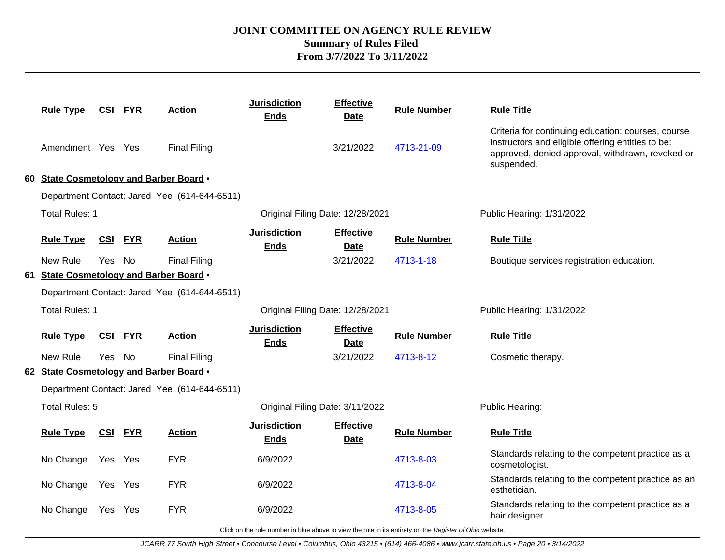| 3/21/2022<br>4713-21-09<br><b>Final Filing</b><br>Amendment Yes Yes<br>suspended.<br>60 State Cosmetology and Barber Board .<br>Department Contact: Jared Yee (614-644-6511)<br><b>Total Rules: 1</b><br>Original Filing Date: 12/28/2021<br>Public Hearing: 1/31/2022<br><b>Jurisdiction</b><br><b>Effective</b><br><b>Rule Type</b><br><b>Rule Number</b><br><b>Rule Title</b><br><u>CSI</u><br><b>FYR</b><br><b>Action</b><br><b>Ends</b><br>Date<br>New Rule<br><b>Final Filing</b><br>3/21/2022<br>Yes No<br>4713-1-18<br>61 State Cosmetology and Barber Board .<br>Department Contact: Jared Yee (614-644-6511)<br>Total Rules: 1<br>Original Filing Date: 12/28/2021<br>Public Hearing: 1/31/2022<br><b>Jurisdiction</b><br><b>Effective</b><br><b>Rule Number</b><br><b>Rule Title</b><br><b>Rule Type</b><br><u>CSI</u><br><b>FYR</b><br><b>Action</b><br><b>Ends</b><br>Date<br>New Rule<br><b>Final Filing</b><br>3/21/2022<br>Yes No<br>4713-8-12<br>Cosmetic therapy.<br>62 State Cosmetology and Barber Board .<br>Department Contact: Jared Yee (614-644-6511)<br>Total Rules: 5<br>Original Filing Date: 3/11/2022<br>Public Hearing:<br><b>Jurisdiction</b><br><b>Effective</b><br><b>CSI FYR</b><br><b>Rule Number</b><br><b>Rule Title</b><br><b>Rule Type</b><br><b>Action</b><br><b>Ends</b><br><b>Date</b><br><b>FYR</b><br>No Change<br>6/9/2022<br>Yes Yes<br>4713-8-03<br>cosmetologist.<br><b>FYR</b><br>No Change<br>6/9/2022<br>4713-8-04<br>Yes Yes<br>esthetician. | <b>Rule Type</b> | <b>CSI FYR</b> | <b>Action</b> | <b>Jurisdiction</b><br><b>Ends</b> | <b>Effective</b><br><b>Date</b> | <b>Rule Number</b> | <b>Rule Title</b>                                                                                                                                           |
|---------------------------------------------------------------------------------------------------------------------------------------------------------------------------------------------------------------------------------------------------------------------------------------------------------------------------------------------------------------------------------------------------------------------------------------------------------------------------------------------------------------------------------------------------------------------------------------------------------------------------------------------------------------------------------------------------------------------------------------------------------------------------------------------------------------------------------------------------------------------------------------------------------------------------------------------------------------------------------------------------------------------------------------------------------------------------------------------------------------------------------------------------------------------------------------------------------------------------------------------------------------------------------------------------------------------------------------------------------------------------------------------------------------------------------------------------------------------------------------------------|------------------|----------------|---------------|------------------------------------|---------------------------------|--------------------|-------------------------------------------------------------------------------------------------------------------------------------------------------------|
|                                                                                                                                                                                                                                                                                                                                                                                                                                                                                                                                                                                                                                                                                                                                                                                                                                                                                                                                                                                                                                                                                                                                                                                                                                                                                                                                                                                                                                                                                                   |                  |                |               |                                    |                                 |                    | Criteria for continuing education: courses, course<br>instructors and eligible offering entities to be:<br>approved, denied approval, withdrawn, revoked or |
|                                                                                                                                                                                                                                                                                                                                                                                                                                                                                                                                                                                                                                                                                                                                                                                                                                                                                                                                                                                                                                                                                                                                                                                                                                                                                                                                                                                                                                                                                                   |                  |                |               |                                    |                                 |                    |                                                                                                                                                             |
|                                                                                                                                                                                                                                                                                                                                                                                                                                                                                                                                                                                                                                                                                                                                                                                                                                                                                                                                                                                                                                                                                                                                                                                                                                                                                                                                                                                                                                                                                                   |                  |                |               |                                    |                                 |                    |                                                                                                                                                             |
|                                                                                                                                                                                                                                                                                                                                                                                                                                                                                                                                                                                                                                                                                                                                                                                                                                                                                                                                                                                                                                                                                                                                                                                                                                                                                                                                                                                                                                                                                                   |                  |                |               |                                    |                                 |                    |                                                                                                                                                             |
|                                                                                                                                                                                                                                                                                                                                                                                                                                                                                                                                                                                                                                                                                                                                                                                                                                                                                                                                                                                                                                                                                                                                                                                                                                                                                                                                                                                                                                                                                                   |                  |                |               |                                    |                                 |                    |                                                                                                                                                             |
|                                                                                                                                                                                                                                                                                                                                                                                                                                                                                                                                                                                                                                                                                                                                                                                                                                                                                                                                                                                                                                                                                                                                                                                                                                                                                                                                                                                                                                                                                                   |                  |                |               |                                    |                                 |                    | Boutique services registration education.                                                                                                                   |
|                                                                                                                                                                                                                                                                                                                                                                                                                                                                                                                                                                                                                                                                                                                                                                                                                                                                                                                                                                                                                                                                                                                                                                                                                                                                                                                                                                                                                                                                                                   |                  |                |               |                                    |                                 |                    |                                                                                                                                                             |
|                                                                                                                                                                                                                                                                                                                                                                                                                                                                                                                                                                                                                                                                                                                                                                                                                                                                                                                                                                                                                                                                                                                                                                                                                                                                                                                                                                                                                                                                                                   |                  |                |               |                                    |                                 |                    |                                                                                                                                                             |
|                                                                                                                                                                                                                                                                                                                                                                                                                                                                                                                                                                                                                                                                                                                                                                                                                                                                                                                                                                                                                                                                                                                                                                                                                                                                                                                                                                                                                                                                                                   |                  |                |               |                                    |                                 |                    |                                                                                                                                                             |
|                                                                                                                                                                                                                                                                                                                                                                                                                                                                                                                                                                                                                                                                                                                                                                                                                                                                                                                                                                                                                                                                                                                                                                                                                                                                                                                                                                                                                                                                                                   |                  |                |               |                                    |                                 |                    |                                                                                                                                                             |
|                                                                                                                                                                                                                                                                                                                                                                                                                                                                                                                                                                                                                                                                                                                                                                                                                                                                                                                                                                                                                                                                                                                                                                                                                                                                                                                                                                                                                                                                                                   |                  |                |               |                                    |                                 |                    |                                                                                                                                                             |
|                                                                                                                                                                                                                                                                                                                                                                                                                                                                                                                                                                                                                                                                                                                                                                                                                                                                                                                                                                                                                                                                                                                                                                                                                                                                                                                                                                                                                                                                                                   |                  |                |               |                                    |                                 |                    |                                                                                                                                                             |
|                                                                                                                                                                                                                                                                                                                                                                                                                                                                                                                                                                                                                                                                                                                                                                                                                                                                                                                                                                                                                                                                                                                                                                                                                                                                                                                                                                                                                                                                                                   |                  |                |               |                                    |                                 |                    |                                                                                                                                                             |
|                                                                                                                                                                                                                                                                                                                                                                                                                                                                                                                                                                                                                                                                                                                                                                                                                                                                                                                                                                                                                                                                                                                                                                                                                                                                                                                                                                                                                                                                                                   |                  |                |               |                                    |                                 |                    |                                                                                                                                                             |
|                                                                                                                                                                                                                                                                                                                                                                                                                                                                                                                                                                                                                                                                                                                                                                                                                                                                                                                                                                                                                                                                                                                                                                                                                                                                                                                                                                                                                                                                                                   |                  |                |               |                                    |                                 |                    |                                                                                                                                                             |
|                                                                                                                                                                                                                                                                                                                                                                                                                                                                                                                                                                                                                                                                                                                                                                                                                                                                                                                                                                                                                                                                                                                                                                                                                                                                                                                                                                                                                                                                                                   |                  |                |               |                                    |                                 |                    | Standards relating to the competent practice as a                                                                                                           |
|                                                                                                                                                                                                                                                                                                                                                                                                                                                                                                                                                                                                                                                                                                                                                                                                                                                                                                                                                                                                                                                                                                                                                                                                                                                                                                                                                                                                                                                                                                   |                  |                |               |                                    |                                 |                    | Standards relating to the competent practice as an                                                                                                          |
| <b>FYR</b><br>6/9/2022<br>4713-8-05<br>No Change<br>Yes<br>Yes<br>hair designer.                                                                                                                                                                                                                                                                                                                                                                                                                                                                                                                                                                                                                                                                                                                                                                                                                                                                                                                                                                                                                                                                                                                                                                                                                                                                                                                                                                                                                  |                  |                |               |                                    |                                 |                    | Standards relating to the competent practice as a                                                                                                           |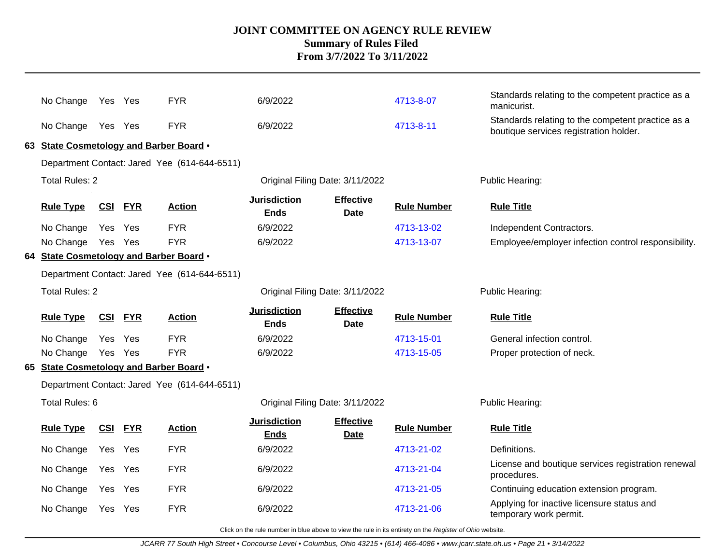| No Change                               | Yes Yes    |                | <b>FYR</b>                                   | 6/9/2022                           |                                 | 4713-8-07          | Standards relating to the competent practice as a<br>manicurist.<br>Standards relating to the competent practice as a |
|-----------------------------------------|------------|----------------|----------------------------------------------|------------------------------------|---------------------------------|--------------------|-----------------------------------------------------------------------------------------------------------------------|
| No Change Yes Yes                       |            |                | <b>FYR</b>                                   | 6/9/2022                           |                                 | 4713-8-11          | boutique services registration holder.                                                                                |
| 63 State Cosmetology and Barber Board . |            |                |                                              |                                    |                                 |                    |                                                                                                                       |
|                                         |            |                | Department Contact: Jared Yee (614-644-6511) |                                    |                                 |                    |                                                                                                                       |
| <b>Total Rules: 2</b>                   |            |                |                                              | Original Filing Date: 3/11/2022    |                                 |                    | Public Hearing:                                                                                                       |
| <b>Rule Type</b>                        | <u>CSI</u> | <b>FYR</b>     | <b>Action</b>                                | <b>Jurisdiction</b><br><b>Ends</b> | <b>Effective</b><br><b>Date</b> | <b>Rule Number</b> | <b>Rule Title</b>                                                                                                     |
| No Change                               | Yes        | Yes            | <b>FYR</b>                                   | 6/9/2022                           |                                 | 4713-13-02         | Independent Contractors.                                                                                              |
| No Change Yes Yes                       |            |                | <b>FYR</b>                                   | 6/9/2022                           |                                 | 4713-13-07         | Employee/employer infection control responsibility.                                                                   |
| 64 State Cosmetology and Barber Board . |            |                |                                              |                                    |                                 |                    |                                                                                                                       |
|                                         |            |                | Department Contact: Jared Yee (614-644-6511) |                                    |                                 |                    |                                                                                                                       |
| <b>Total Rules: 2</b>                   |            |                |                                              | Original Filing Date: 3/11/2022    |                                 |                    | Public Hearing:                                                                                                       |
|                                         |            |                |                                              |                                    |                                 |                    |                                                                                                                       |
| <b>Rule Type</b>                        |            | <b>CSI FYR</b> | <b>Action</b>                                | <b>Jurisdiction</b><br><b>Ends</b> | <b>Effective</b><br><b>Date</b> | <b>Rule Number</b> | <b>Rule Title</b>                                                                                                     |
| No Change                               | Yes Yes    |                | <b>FYR</b>                                   | 6/9/2022                           |                                 | 4713-15-01         | General infection control.                                                                                            |
| No Change                               | Yes Yes    |                | <b>FYR</b>                                   | 6/9/2022                           |                                 | 4713-15-05         | Proper protection of neck.                                                                                            |
| 65 State Cosmetology and Barber Board . |            |                |                                              |                                    |                                 |                    |                                                                                                                       |
|                                         |            |                | Department Contact: Jared Yee (614-644-6511) |                                    |                                 |                    |                                                                                                                       |
| Total Rules: 6                          |            |                |                                              | Original Filing Date: 3/11/2022    |                                 |                    | Public Hearing:                                                                                                       |
| <b>Rule Type</b>                        | <u>CSI</u> | <b>FYR</b>     | <b>Action</b>                                | <b>Jurisdiction</b><br><b>Ends</b> | <b>Effective</b><br><b>Date</b> | <b>Rule Number</b> | <b>Rule Title</b>                                                                                                     |
| No Change                               | Yes Yes    |                | <b>FYR</b>                                   | 6/9/2022                           |                                 | 4713-21-02         | Definitions.                                                                                                          |
| No Change                               | Yes        | Yes            | <b>FYR</b>                                   | 6/9/2022                           |                                 | 4713-21-04         | License and boutique services registration renewal<br>procedures.                                                     |
| No Change                               | Yes Yes    |                | <b>FYR</b>                                   | 6/9/2022                           |                                 | 4713-21-05         | Continuing education extension program.<br>Applying for inactive licensure status and                                 |